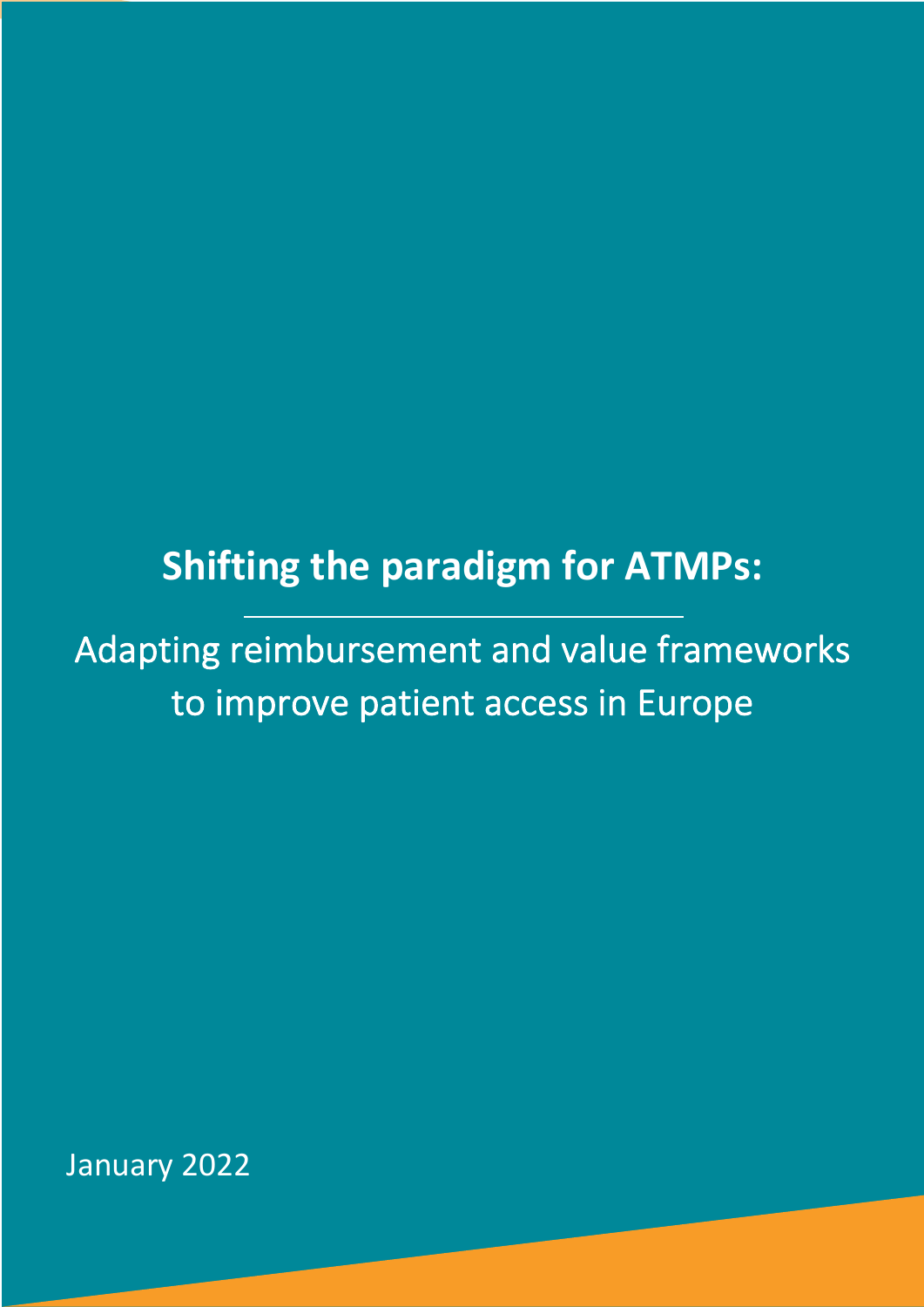# **Shifting the paradigm for ATMPs:**

Adapting reimbursement and value frameworks to improve patient access in Europe

January 2022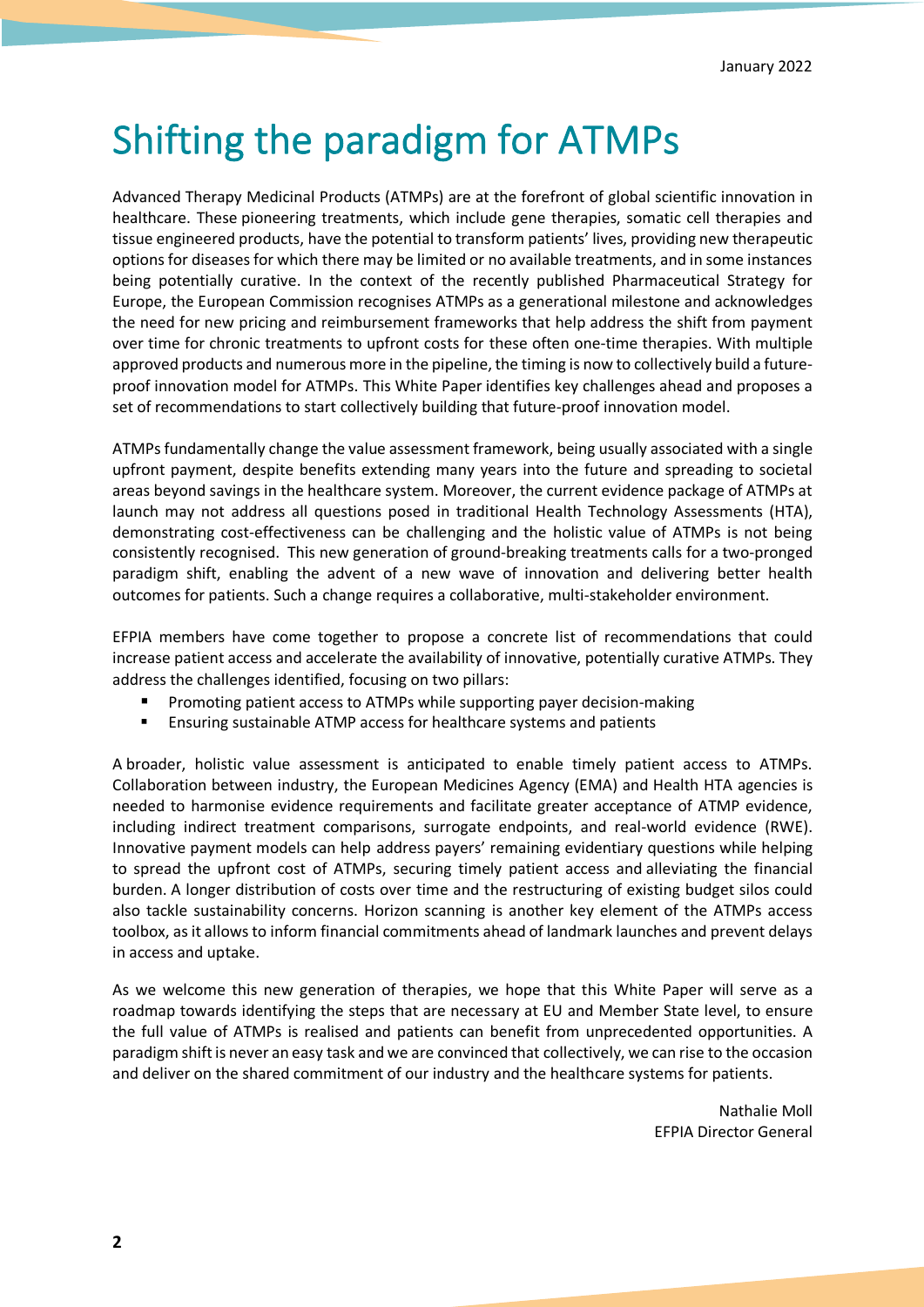# Shifting the paradigm for ATMPs

Advanced Therapy Medicinal Products (ATMPs) are at the forefront of global scientific innovation in healthcare. These pioneering treatments, which include gene therapies, somatic cell therapies and tissue engineered products, have the potential to transform patients' lives, providing new therapeutic options for diseases for which there may be limited or no available treatments, and in some instances being potentially curative. In the context of the recently published Pharmaceutical Strategy for Europe, the European Commission recognises ATMPs as a generational milestone and acknowledges the need for new pricing and reimbursement frameworks that help address the shift from payment over time for chronic treatments to upfront costs for these often one-time therapies. With multiple approved products and numerous more in the pipeline, the timing is now to collectively build a futureproof innovation model for ATMPs. This White Paper identifies key challenges ahead and proposes a set of recommendations to start collectively building that future-proof innovation model.

ATMPs fundamentally change the value assessment framework, being usually associated with a single upfront payment, despite benefits extending many years into the future and spreading to societal areas beyond savings in the healthcare system. Moreover, the current evidence package of ATMPs at launch may not address all questions posed in traditional Health Technology Assessments (HTA), demonstrating cost-effectiveness can be challenging and the holistic value of ATMPs is not being consistently recognised. This new generation of ground-breaking treatments calls for a two-pronged paradigm shift, enabling the advent of a new wave of innovation and delivering better health outcomes for patients. Such a change requires a collaborative, multi-stakeholder environment.

EFPIA members have come together to propose a concrete list of recommendations that could increase patient access and accelerate the availability of innovative, potentially curative ATMPs. They address the challenges identified, focusing on two pillars:

- § Promoting patient access to ATMPs while supporting payer decision-making
- Ensuring sustainable ATMP access for healthcare systems and patients

A broader, holistic value assessment is anticipated to enable timely patient access to ATMPs. Collaboration between industry, the European Medicines Agency (EMA) and Health HTA agencies is needed to harmonise evidence requirements and facilitate greater acceptance of ATMP evidence, including indirect treatment comparisons, surrogate endpoints, and real-world evidence (RWE). Innovative payment models can help address payers' remaining evidentiary questions while helping to spread the upfront cost of ATMPs, securing timely patient access and alleviating the financial burden. A longer distribution of costs over time and the restructuring of existing budget silos could also tackle sustainability concerns. Horizon scanning is another key element of the ATMPs access toolbox, as it allows to inform financial commitments ahead of landmark launches and prevent delays in access and uptake.

As we welcome this new generation of therapies, we hope that this White Paper will serve as a roadmap towards identifying the steps that are necessary at EU and Member State level, to ensure the full value of ATMPs is realised and patients can benefit from unprecedented opportunities. A paradigm shift is never an easy task and we are convinced that collectively, we can rise to the occasion and deliver on the shared commitment of our industry and the healthcare systems for patients.

> Nathalie Moll EFPIA Director General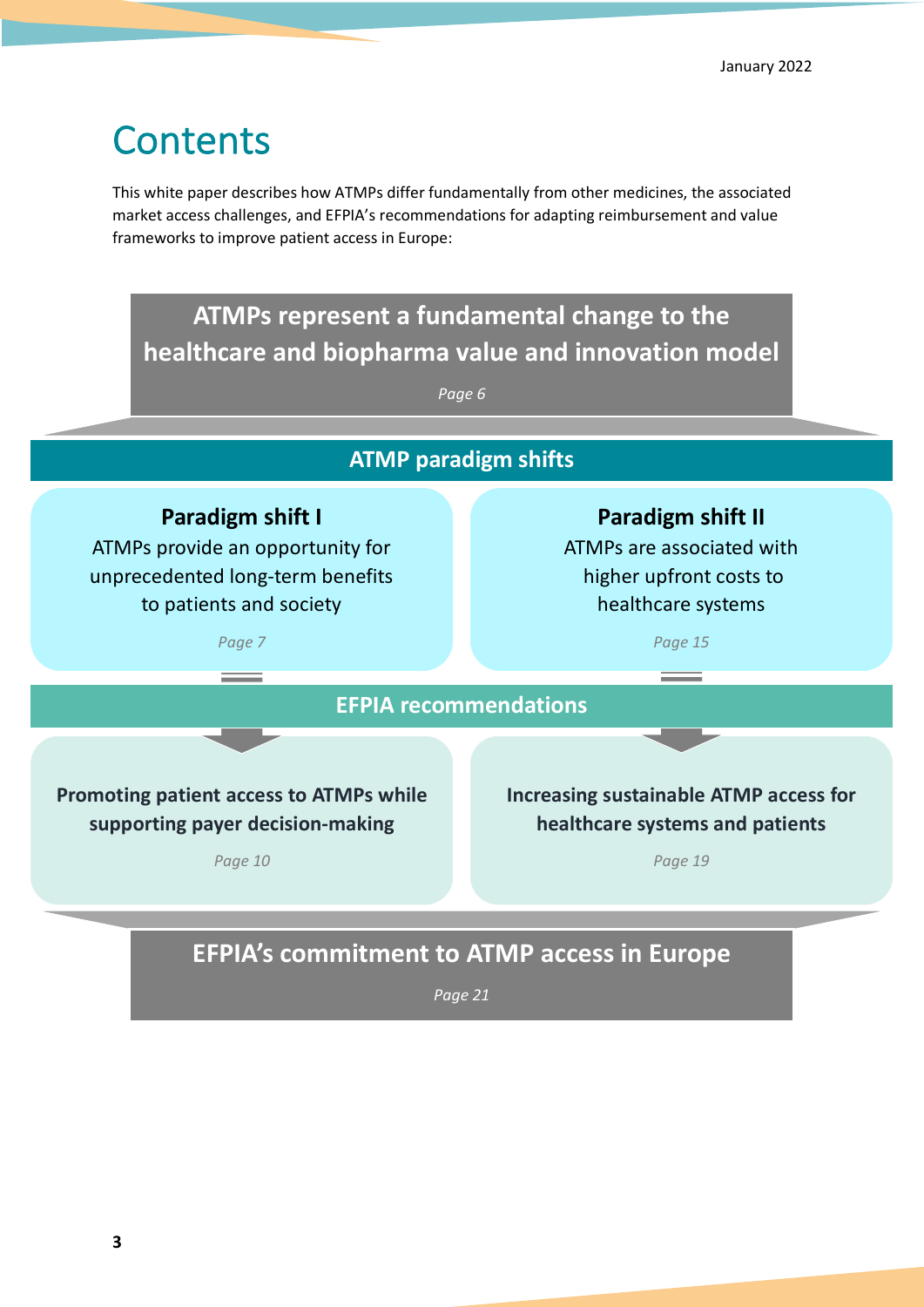# **Contents**

This white paper describes how ATMPs differ fundamentally from other medicines, the associated market access challenges, and EFPIA's recommendations for adapting reimbursement and value frameworks to improve patient access in Europe:

# **ATMPs represent a fundamental change to the healthcare and biopharma value and innovation model**

*Page 6*

# **Paradigm shift I** ATMPs provide an opportunity for unprecedented long-term benefits to patients and society *Page 7* **Promoting patient access to ATMPs while supporting payer decision-making** *Page 10* **Paradigm shift II** ATMPs are associated with higher upfront costs to healthcare systems *Page 15* **Increasing sustainable ATMP access for healthcare systems and patients** *Page 19* **EFPIA's commitment to ATMP access in Europe** *Page 21* **EFPIA recommendations ATMP paradigm shifts**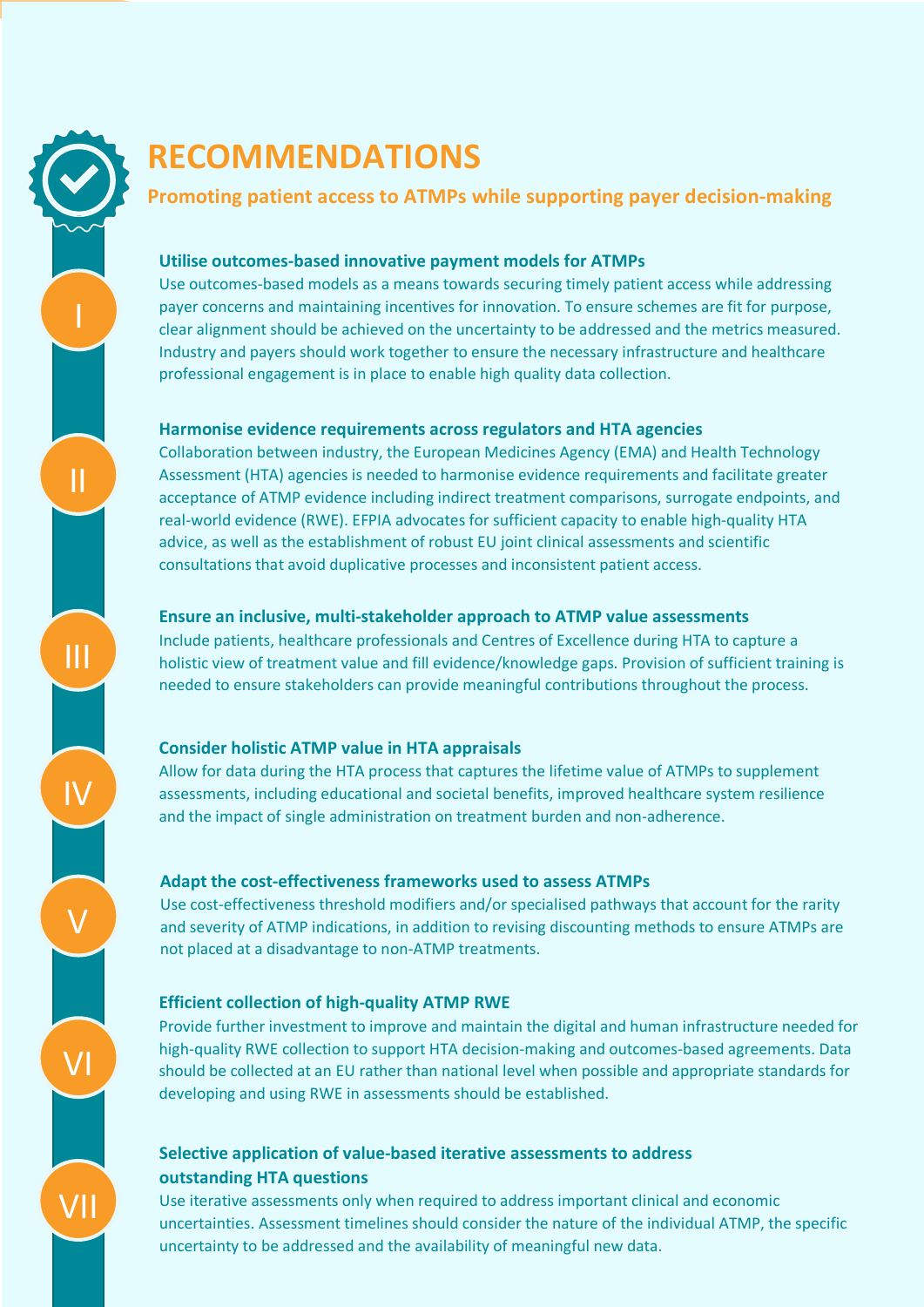# ์<br>? **RECOMMENDATIONS**

### **Promoting patient access to ATMPs while supporting payer decision-making**

### **Utilise outcomes-based innovative payment models for ATMPs**

Use outcomes-based models as a means towards securing timely patient access while addressing payer concerns and maintaining incentives for innovation. To ensure schemes are fit for purpose, clear alignment should be achieved on the uncertainty to be addressed and the metrics measured. Industry and payers should work together to ensure the necessary infrastructure and healthcare professional engagement is in place to enable high quality data collection.

### **Harmonise evidence requirements across regulators and HTA agencies**

Collaboration between industry, the European Medicines Agency (EMA) and Health Technology Assessment (HTA) agencies is needed to harmonise evidence requirements and facilitate greater acceptance of ATMP evidence including indirect treatment comparisons, surrogate endpoints, and real-world evidence (RWE). EFPIA advocates for sufficient capacity to enable high-quality HTA advice, as well as the establishment of robust EU joint clinical assessments and scientific consultations that avoid duplicative processes and inconsistent patient access.

### **Ensure an inclusive, multi-stakeholder approach to ATMP value assessments**

Include patients, healthcare professionals and Centres of Excellence during HTA to capture a holistic view of treatment value and fill evidence/knowledge gaps. Provision of sufficient training is needed to ensure stakeholders can provide meaningful contributions throughout the process.

### **Consider holistic ATMP value in HTA appraisals**

Allow for data during the HTA process that captures the lifetime value of ATMPs to supplement assessments, including educational and societal benefits, improved healthcare system resilience and the impact of single administration on treatment burden and non-adherence.

### **Adapt the cost-effectiveness frameworks used to assess ATMPs**

Use cost-effectiveness threshold modifiers and/or specialised pathways that account for the rarity and severity of ATMP indications, in addition to revising discounting methods to ensure ATMPs are not placed at a disadvantage to non-ATMP treatments.

### **Efficient collection of high-quality ATMP RWE**

Provide further investment to improve and maintain the digital and human infrastructure needed for high-quality RWE collection to support HTA decision-making and outcomes-based agreements. Data should be collected at an EU rather than national level when possible and appropriate standards for developing and using RWE in assessments should be established.

### **Selective application of value-based iterative assessments to address outstanding HTA questions**

Use iterative assessments only when required to address important clinical and economic uncertainties. Assessment timelines should consider the nature of the individual ATMP, the specific uncertainty to be addressed and the availability of meaningful new data.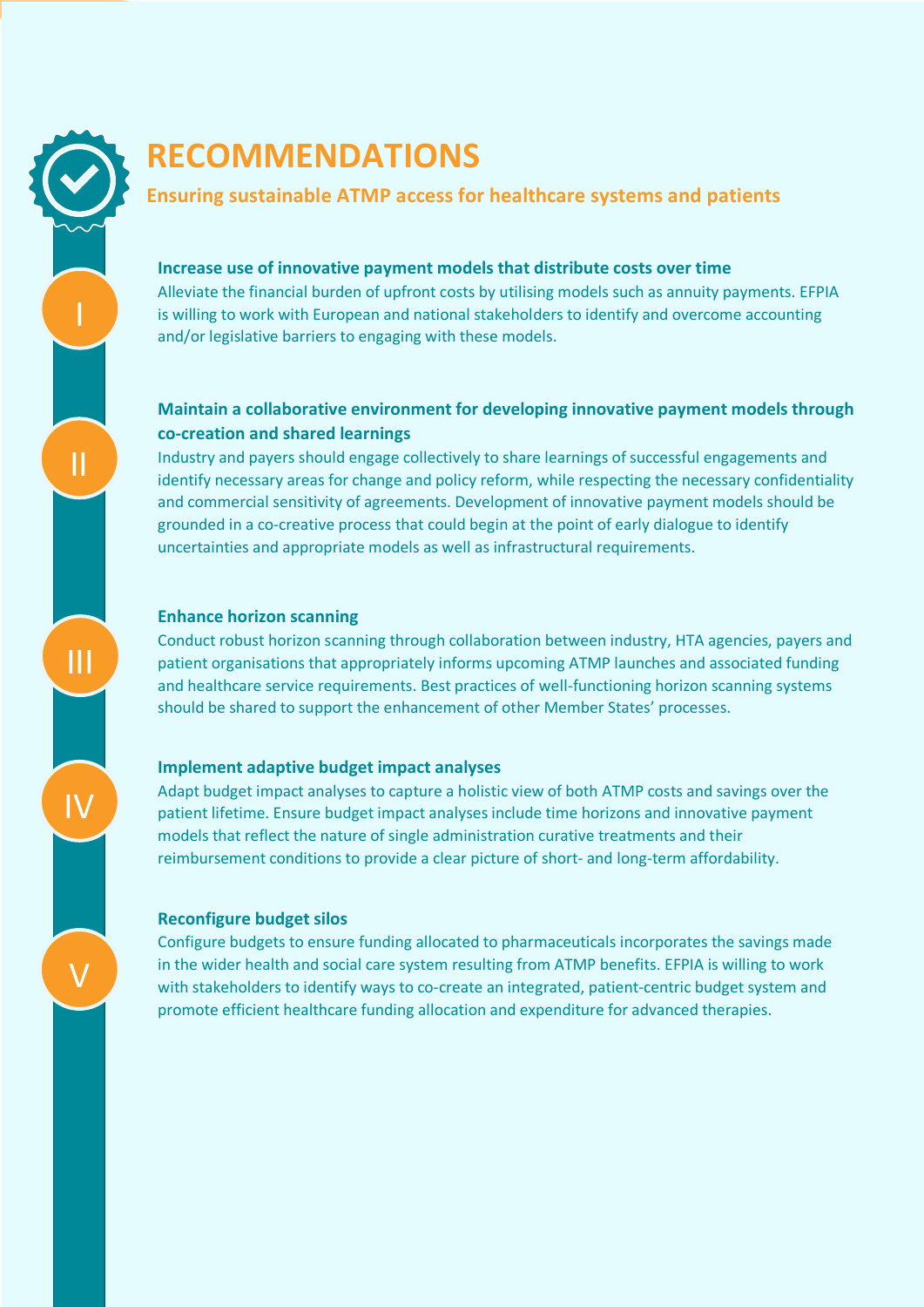

# ์<br>ว **RECOMMENDATIONS**

### **Ensuring sustainable ATMP access for healthcare systems and patients**

#### **Increase use of innovative payment models that distribute costs over time**

Alleviate the financial burden of upfront costs by utilising models such as annuity payments. EFPIA is willing to work with European and national stakeholders to identify and overcome accounting and/or legislative barriers to engaging with these models.

### **Maintain a collaborative environment for developing innovative payment models through co-creation and shared learnings**

Industry and payers should engage collectively to share learnings of successful engagements and identify necessary areas for change and policy reform, while respecting the necessary confidentiality and commercial sensitivity of agreements. Development of innovative payment models should be grounded in a co-creative process that could begin at the point of early dialogue to identify uncertainties and appropriate models as well as infrastructural requirements.

### **Enhance horizon scanning**

Conduct robust horizon scanning through collaboration between industry, HTA agencies, payers and patient organisations that appropriately informs upcoming ATMP launches and associated funding and healthcare service requirements. Best practices of well-functioning horizon scanning systems should be shared to support the enhancement of other Member States' processes.

#### **Implement adaptive budget impact analyses**

Adapt budget impact analyses to capture a holistic view of both ATMP costs and savings over the patient lifetime. Ensure budget impact analyses include time horizons and innovative payment models that reflect the nature of single administration curative treatments and their reimbursement conditions to provide a clear picture of short- and long-term affordability.

#### **Reconfigure budget silos**

Configure budgets to ensure funding allocated to pharmaceuticals incorporates the savings made in the wider health and social care system resulting from ATMP benefits. EFPIA is willing to work with stakeholders to identify ways to co-create an integrated, patient-centric budget system and promote efficient healthcare funding allocation and expenditure for advanced therapies.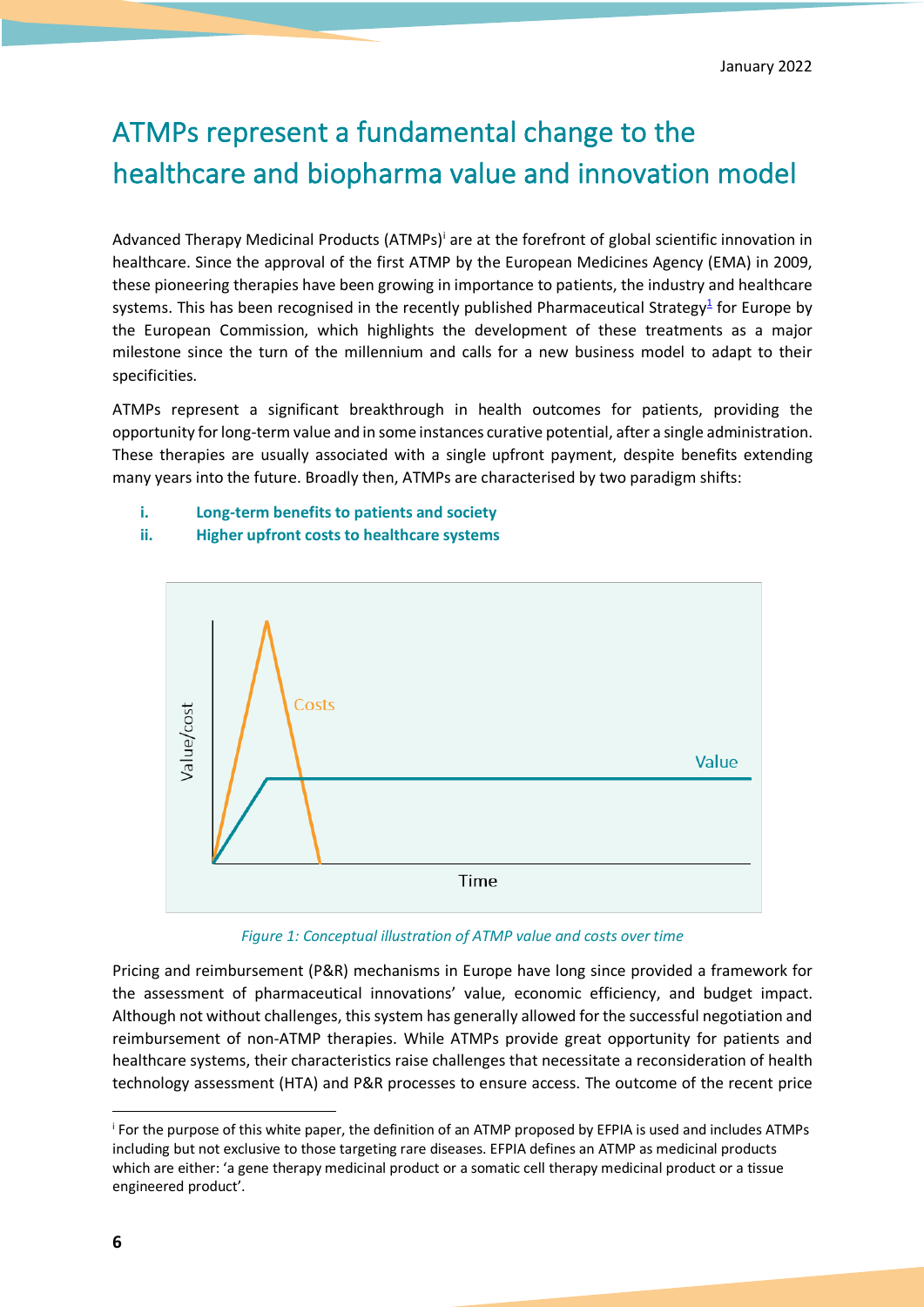# ATMPs represent a fundamental change to the healthcare and biopharma value and innovation model

Advanced Therapy Medicinal Products (ATMPs)<sup>i</sup> are at the forefront of global scientific innovation in healthcare. Since the approval of the first ATMP by the European Medicines Agency (EMA) in 2009, these pioneering therapies have been growing in importance to patients, the industry and healthcare systems. This has been recognised in the recently published Pharmaceutical Strategy<sup>1</sup> for Europe by the European Commission, which highlights the development of these treatments as a major milestone since the turn of the millennium and calls for a new business model to adapt to their specificities.

ATMPs represent a significant breakthrough in health outcomes for patients, providing the opportunity for long-term value and in some instances curative potential, after a single administration. These therapies are usually associated with a single upfront payment, despite benefits extending many years into the future. Broadly then, ATMPs are characterised by two paradigm shifts:

- **i. Long-term benefits to patients and society**
	- Costs Value/cost Value Time
- **ii. Higher upfront costs to healthcare systems**

*Figure 1: Conceptual illustration of ATMP value and costs over time*

Pricing and reimbursement (P&R) mechanisms in Europe have long since provided a framework for the assessment of pharmaceutical innovations' value, economic efficiency, and budget impact. Although not without challenges, this system has generally allowed for the successful negotiation and reimbursement of non-ATMP therapies. While ATMPs provide great opportunity for patients and healthcare systems, their characteristics raise challenges that necessitate a reconsideration of health technology assessment (HTA) and P&R processes to ensure access. The outcome of the recent price

i For the purpose of this white paper, the definition of an ATMP proposed by EFPIA is used and includes ATMPs including but not exclusive to those targeting rare diseases. EFPIA defines an ATMP as medicinal products which are either: 'a gene therapy medicinal product or a somatic cell therapy medicinal product or a tissue engineered product'.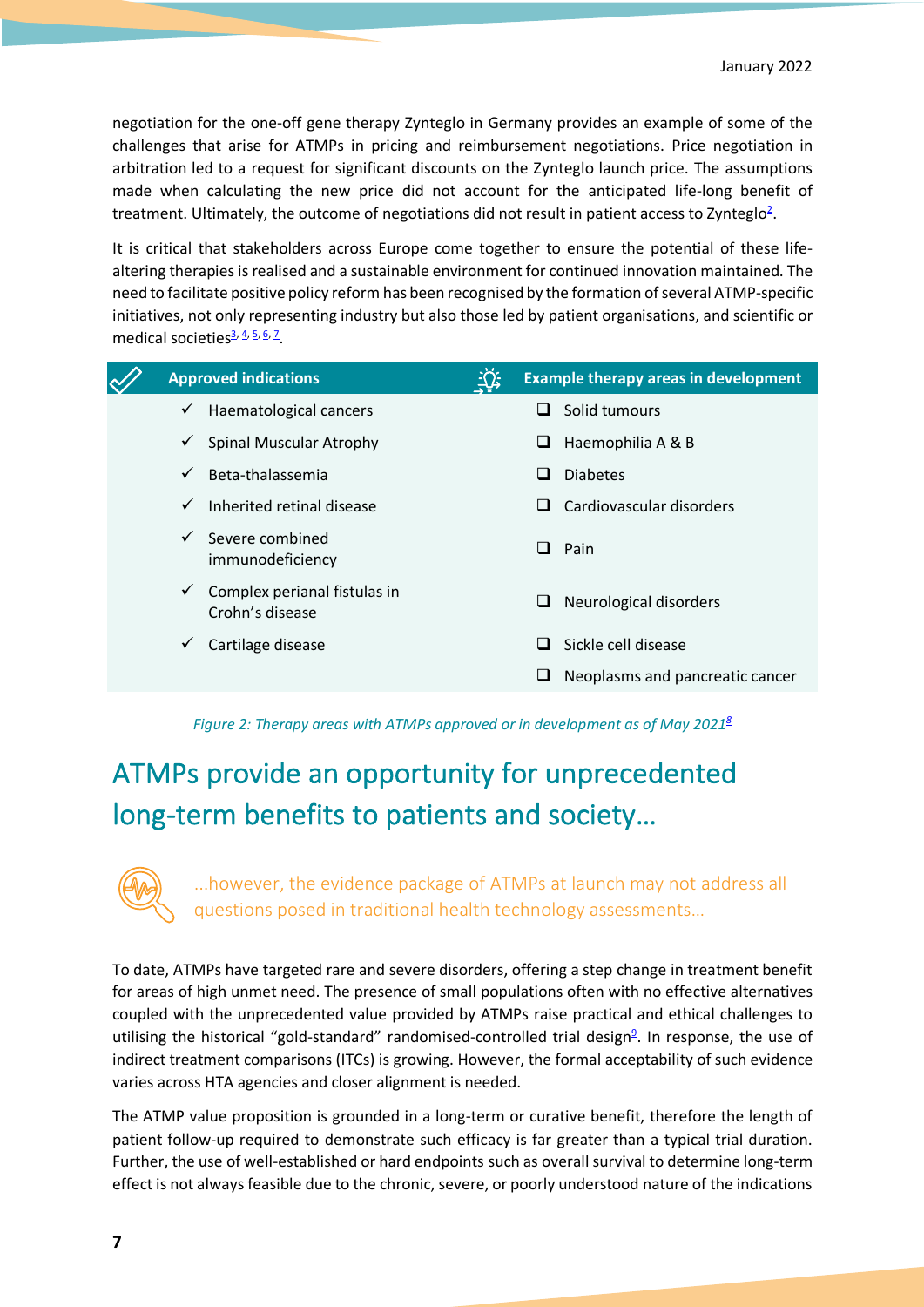negotiation for the one-off gene therapy Zynteglo in Germany provides an example of some of the challenges that arise for ATMPs in pricing and reimbursement negotiations. Price negotiation in arbitration led to a request for significant discounts on the Zynteglo launch price. The assumptions made when calculating the new price did not account for the anticipated life-long benefit of treatment. Ultimately, the outcome of negotiations did not result in patient access to Zynteglo<sup>2</sup>.

It is critical that stakeholders across Europe come together to ensure the potential of these lifealtering therapies is realised and a sustainable environment for continued innovation maintained. The need to facilitate positive policy reform has been recognised by the formation of several ATMP-specific initiatives, not only representing industry but also those led by patient organisations, and scientific or medical societies<sup>3, 4, 5, 6, 7</sup>.

| <b>Approved indications</b> |                                                 |   | <b>Example therapy areas in development</b> |  |
|-----------------------------|-------------------------------------------------|---|---------------------------------------------|--|
| $\checkmark$                | Haematological cancers                          |   | Solid tumours                               |  |
| $\checkmark$                | <b>Spinal Muscular Atrophy</b>                  | ⊔ | Haemophilia A & B                           |  |
| $\checkmark$                | Beta-thalassemia                                |   | <b>Diabetes</b>                             |  |
| $\checkmark$                | Inherited retinal disease                       | ப | Cardiovascular disorders                    |  |
|                             | Severe combined<br>immunodeficiency             | ப | Pain                                        |  |
| $\checkmark$                | Complex perianal fistulas in<br>Crohn's disease | ⊔ | Neurological disorders                      |  |
| ✓                           | Cartilage disease                               | ப | Sickle cell disease                         |  |
|                             |                                                 | ⊔ | Neoplasms and pancreatic cancer             |  |
|                             |                                                 |   |                                             |  |

*Figure 2: Therapy areas with ATMPs approved or in development as of May 20218*

# ATMPs provide an opportunity for unprecedented long-term benefits to patients and society…



...however, the evidence package of ATMPs at launch may not address all questions posed in traditional health technology assessments…

To date, ATMPs have targeted rare and severe disorders, offering a step change in treatment benefit for areas of high unmet need. The presence of small populations often with no effective alternatives coupled with the unprecedented value provided by ATMPs raise practical and ethical challenges to utilising the historical "gold-standard" randomised-controlled trial design<sup>9</sup>. In response, the use of indirect treatment comparisons (ITCs) is growing. However, the formal acceptability of such evidence varies across HTA agencies and closer alignment is needed.

The ATMP value proposition is grounded in a long-term or curative benefit, therefore the length of patient follow-up required to demonstrate such efficacy is far greater than a typical trial duration. Further, the use of well-established or hard endpoints such as overall survival to determine long-term effect is not always feasible due to the chronic, severe, or poorly understood nature of the indications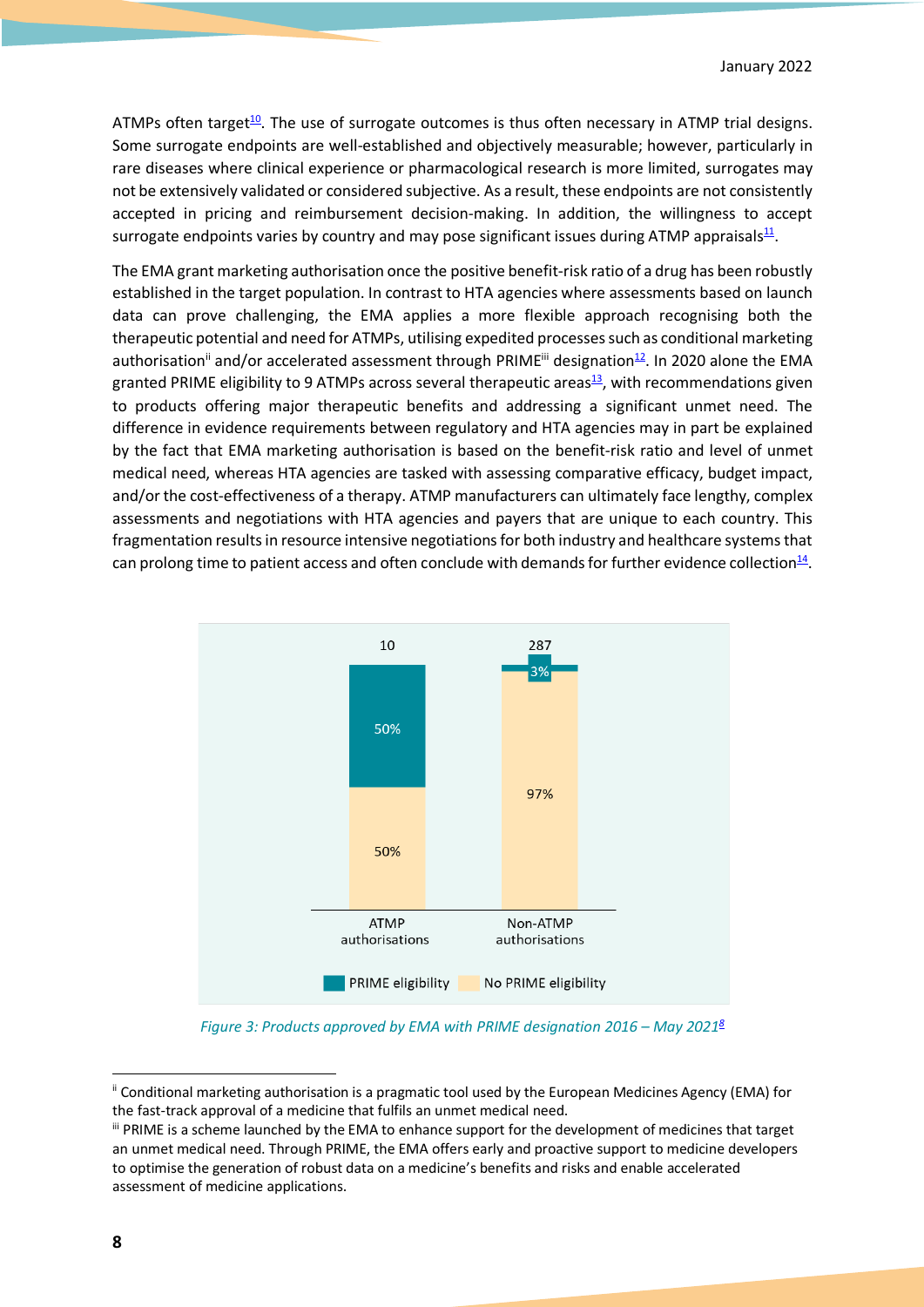ATMPs often target<sup>10</sup>. The use of surrogate outcomes is thus often necessary in ATMP trial designs. Some surrogate endpoints are well-established and objectively measurable; however, particularly in rare diseases where clinical experience or pharmacological research is more limited, surrogates may not be extensively validated or considered subjective. As a result, these endpoints are not consistently accepted in pricing and reimbursement decision-making. In addition, the willingness to accept surrogate endpoints varies by country and may pose significant issues during ATMP appraisals $\frac{11}{2}$ .

The EMA grant marketing authorisation once the positive benefit-risk ratio of a drug has been robustly established in the target population. In contrast to HTA agencies where assessments based on launch data can prove challenging, the EMA applies a more flexible approach recognising both the therapeutic potential and need for ATMPs, utilising expedited processes such as conditional marketing authorisation<sup>ii</sup> and/or accelerated assessment through PRIME<sup>iii</sup> designation<sup>12</sup>. In 2020 alone the EMA granted PRIME eligibility to 9 ATMPs across several therapeutic areas $\frac{13}{2}$ , with recommendations given to products offering major therapeutic benefits and addressing a significant unmet need. The difference in evidence requirements between regulatory and HTA agencies may in part be explained by the fact that EMA marketing authorisation is based on the benefit-risk ratio and level of unmet medical need, whereas HTA agencies are tasked with assessing comparative efficacy, budget impact, and/or the cost-effectiveness of a therapy. ATMP manufacturers can ultimately face lengthy, complex assessments and negotiations with HTA agencies and payers that are unique to each country. This fragmentation results in resource intensive negotiations for both industry and healthcare systems that can prolong time to patient access and often conclude with demands for further evidence collection $14$ .



*Figure 3: Products approved by EMA with PRIME designation 2016 – May 20218*

<sup>&</sup>lt;sup>ii</sup> Conditional marketing authorisation is a pragmatic tool used by the European Medicines Agency (EMA) for the fast-track approval of a medicine that fulfils an unmet medical need.<br>iii PRIME is a scheme launched by the EMA to enhance support for the development of medicines that target

an unmet medical need. Through PRIME, the EMA offers early and proactive support to medicine developers to optimise the generation of robust data on a medicine's benefits and risks and enable accelerated assessment of medicine applications.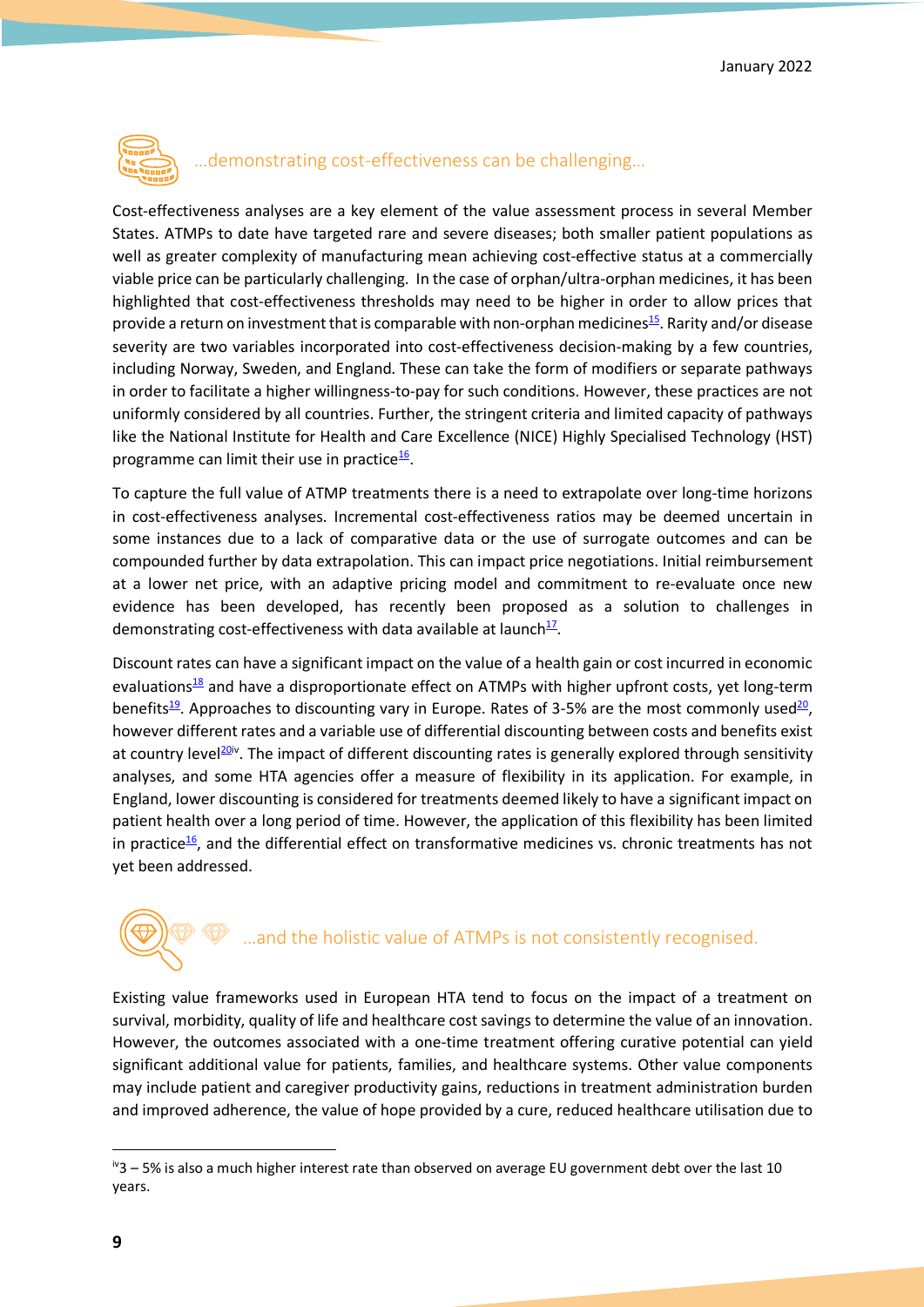

### …demonstrating cost-effectiveness can be challenging…

Cost-effectiveness analyses are a key element of the value assessment process in several Member States. ATMPs to date have targeted rare and severe diseases; both smaller patient populations as well as greater complexity of manufacturing mean achieving cost-effective status at a commercially viable price can be particularly challenging. In the case of orphan/ultra-orphan medicines, it has been highlighted that cost-effectiveness thresholds may need to be higher in order to allow prices that provide a return on investment that is comparable with non-orphan medicines<sup>15</sup>. Rarity and/or disease severity are two variables incorporated into cost-effectiveness decision-making by a few countries, including Norway, Sweden, and England. These can take the form of modifiers or separate pathways in order to facilitate a higher willingness-to-pay for such conditions. However, these practices are not uniformly considered by all countries. Further, the stringent criteria and limited capacity of pathways like the National Institute for Health and Care Excellence (NICE) Highly Specialised Technology (HST) programme can limit their use in practice<sup>16</sup>.

To capture the full value of ATMP treatments there is a need to extrapolate over long-time horizons in cost-effectiveness analyses. Incremental cost-effectiveness ratios may be deemed uncertain in some instances due to a lack of comparative data or the use of surrogate outcomes and can be compounded further by data extrapolation. This can impact price negotiations. Initial reimbursement at a lower net price, with an adaptive pricing model and commitment to re-evaluate once new evidence has been developed, has recently been proposed as a solution to challenges in demonstrating cost-effectiveness with data available at launch $\frac{17}{17}$ .

Discount rates can have a significant impact on the value of a health gain or cost incurred in economic evaluations<sup>18</sup> and have a disproportionate effect on ATMPs with higher upfront costs, yet long-term benefits<sup>19</sup>. Approaches to discounting vary in Europe. Rates of 3-5% are the most commonly used<sup>20</sup>, however different rates and a variable use of differential discounting between costs and benefits exist at country level<sup>20iv</sup>. The impact of different discounting rates is generally explored through sensitivity analyses, and some HTA agencies offer a measure of flexibility in its application. For example, in England, lower discounting is considered for treatments deemed likely to have a significant impact on patient health over a long period of time. However, the application of this flexibility has been limited in practice<sup>16</sup>, and the differential effect on transformative medicines vs. chronic treatments has not yet been addressed.

# …and the holistic value of ATMPs is not consistently recognised.

Existing value frameworks used in European HTA tend to focus on the impact of a treatment on survival, morbidity, quality of life and healthcare cost savings to determine the value of an innovation. However, the outcomes associated with a one-time treatment offering curative potential can yield significant additional value for patients, families, and healthcare systems. Other value components may include patient and caregiver productivity gains, reductions in treatment administration burden and improved adherence, the value of hope provided by a cure, reduced healthcare utilisation due to

 $i$ <sup>v</sup>3 – 5% is also a much higher interest rate than observed on average EU government debt over the last 10 years.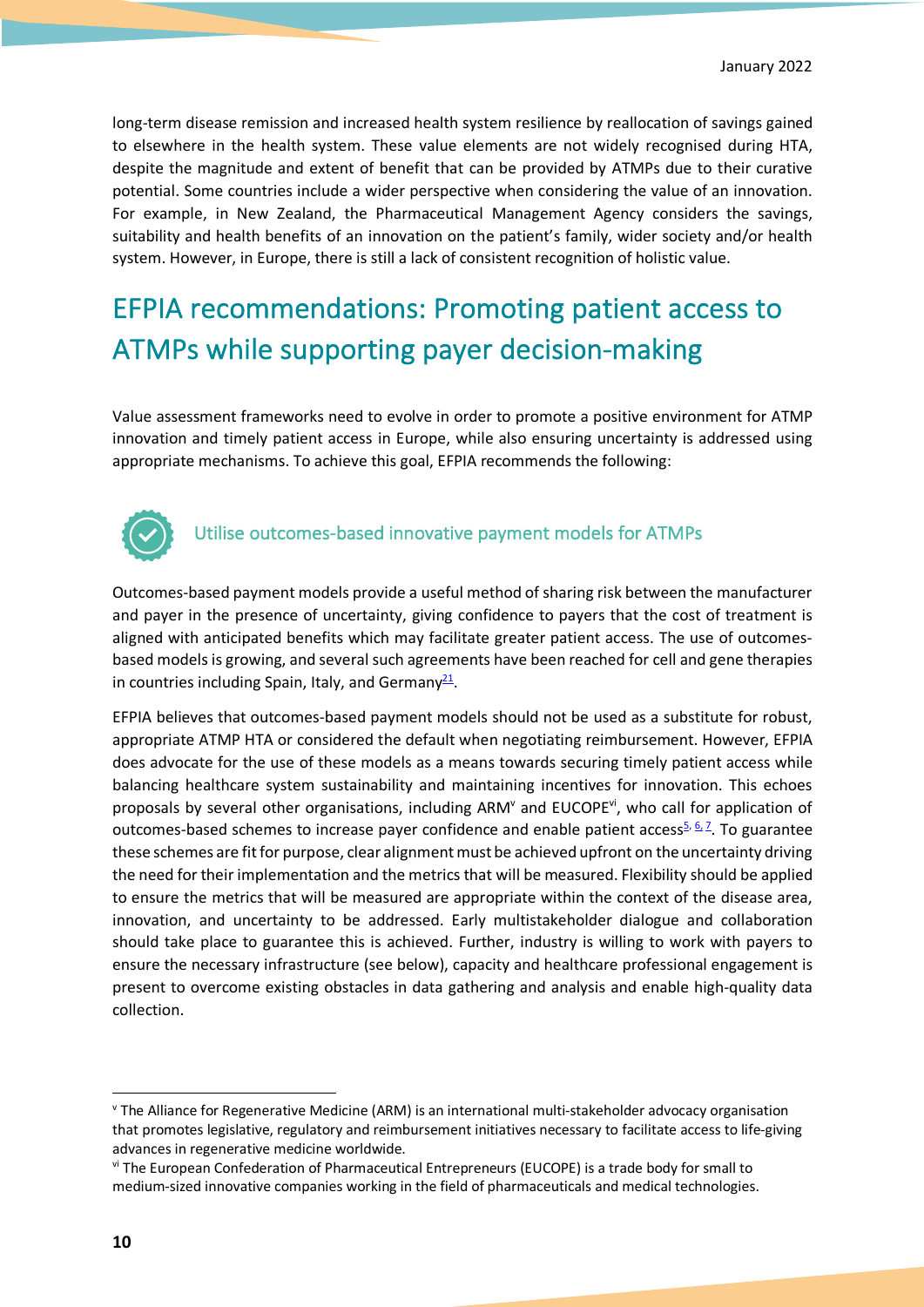long-term disease remission and increased health system resilience by reallocation of savings gained to elsewhere in the health system. These value elements are not widely recognised during HTA, despite the magnitude and extent of benefit that can be provided by ATMPs due to their curative potential. Some countries include a wider perspective when considering the value of an innovation. For example, in New Zealand, the Pharmaceutical Management Agency considers the savings, suitability and health benefits of an innovation on the patient's family, wider society and/or health system. However, in Europe, there is still a lack of consistent recognition of holistic value.

# EFPIA recommendations: Promoting patient access to ATMPs while supporting payer decision-making

Value assessment frameworks need to evolve in order to promote a positive environment for ATMP innovation and timely patient access in Europe, while also ensuring uncertainty is addressed using appropriate mechanisms. To achieve this goal, EFPIA recommends the following:



### Utilise outcomes-based innovative payment models for ATMPs

Outcomes-based payment models provide a useful method of sharing risk between the manufacturer and payer in the presence of uncertainty, giving confidence to payers that the cost of treatment is aligned with anticipated benefits which may facilitate greater patient access. The use of outcomesbased models is growing, and several such agreements have been reached for cell and gene therapies in countries including Spain, Italy, and Germany $^{\underline{21}}$ .

EFPIA believes that outcomes-based payment models should not be used as a substitute for robust, appropriate ATMP HTA or considered the default when negotiating reimbursement. However, EFPIA does advocate for the use of these models as a means towards securing timely patient access while balancing healthcare system sustainability and maintaining incentives for innovation. This echoes proposals by several other organisations, including ARM<sup>V</sup> and EUCOPE<sup>vi</sup>, who call for application of outcomes-based schemes to increase payer confidence and enable patient access<sup>5, 6, 7</sup>. To guarantee these schemes are fit for purpose, clear alignment must be achieved upfront on the uncertainty driving the need for their implementation and the metrics that will be measured. Flexibility should be applied to ensure the metrics that will be measured are appropriate within the context of the disease area, innovation, and uncertainty to be addressed. Early multistakeholder dialogue and collaboration should take place to guarantee this is achieved. Further, industry is willing to work with payers to ensure the necessary infrastructure (see below), capacity and healthcare professional engagement is present to overcome existing obstacles in data gathering and analysis and enable high-quality data collection.

v The Alliance for Regenerative Medicine (ARM) is an international multi-stakeholder advocacy organisation that promotes legislative, regulatory and reimbursement initiatives necessary to facilitate access to life-giving advances in regenerative medicine worldwide.

vi The European Confederation of Pharmaceutical Entrepreneurs (EUCOPE) is a trade body for small to medium-sized innovative companies working in the field of pharmaceuticals and medical technologies.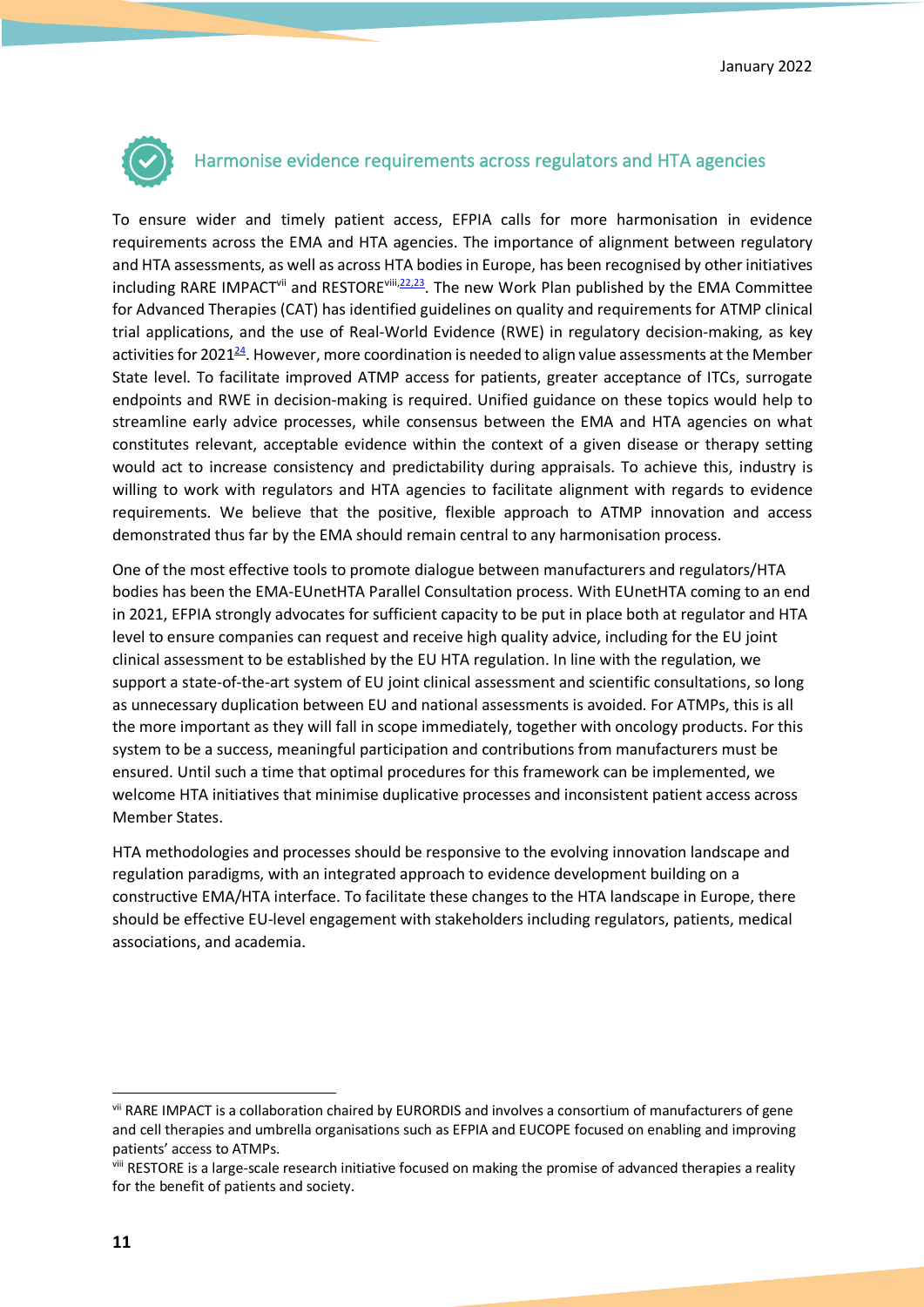

### Harmonise evidence requirements across regulators and HTA agencies

To ensure wider and timely patient access, EFPIA calls for more harmonisation in evidence requirements across the EMA and HTA agencies. The importance of alignment between regulatory and HTA assessments, as well as across HTA bodies in Europe, has been recognised by other initiatives including RARE IMPACT<sup>vii</sup> and RESTORE<sup>viii,22,23</sup>. The new Work Plan published by the EMA Committee for Advanced Therapies (CAT) has identified guidelines on quality and requirements for ATMP clinical trial applications, and the use of Real-World Evidence (RWE) in regulatory decision-making, as key activities for 2021<sup>24</sup>. However, more coordination is needed to align value assessments at the Member State level. To facilitate improved ATMP access for patients, greater acceptance of ITCs, surrogate endpoints and RWE in decision-making is required. Unified guidance on these topics would help to streamline early advice processes, while consensus between the EMA and HTA agencies on what constitutes relevant, acceptable evidence within the context of a given disease or therapy setting would act to increase consistency and predictability during appraisals. To achieve this, industry is willing to work with regulators and HTA agencies to facilitate alignment with regards to evidence requirements. We believe that the positive, flexible approach to ATMP innovation and access demonstrated thus far by the EMA should remain central to any harmonisation process.

One of the most effective tools to promote dialogue between manufacturers and regulators/HTA bodies has been the EMA-EUnetHTA Parallel Consultation process. With EUnetHTA coming to an end in 2021, EFPIA strongly advocates for sufficient capacity to be put in place both at regulator and HTA level to ensure companies can request and receive high quality advice, including for the EU joint clinical assessment to be established by the EU HTA regulation. In line with the regulation, we support a state-of-the-art system of EU joint clinical assessment and scientific consultations, so long as unnecessary duplication between EU and national assessments is avoided. For ATMPs, this is all the more important as they will fall in scope immediately, together with oncology products. For this system to be a success, meaningful participation and contributions from manufacturers must be ensured. Until such a time that optimal procedures for this framework can be implemented, we welcome HTA initiatives that minimise duplicative processes and inconsistent patient access across Member States.

HTA methodologies and processes should be responsive to the evolving innovation landscape and regulation paradigms, with an integrated approach to evidence development building on a constructive EMA/HTA interface. To facilitate these changes to the HTA landscape in Europe, there should be effective EU-level engagement with stakeholders including regulators, patients, medical associations, and academia.

vii RARE IMPACT is a collaboration chaired by EURORDIS and involves a consortium of manufacturers of gene and cell therapies and umbrella organisations such as EFPIA and EUCOPE focused on enabling and improving patients' access to ATMPs.

viii RESTORE is a large-scale research initiative focused on making the promise of advanced therapies a reality for the benefit of patients and society.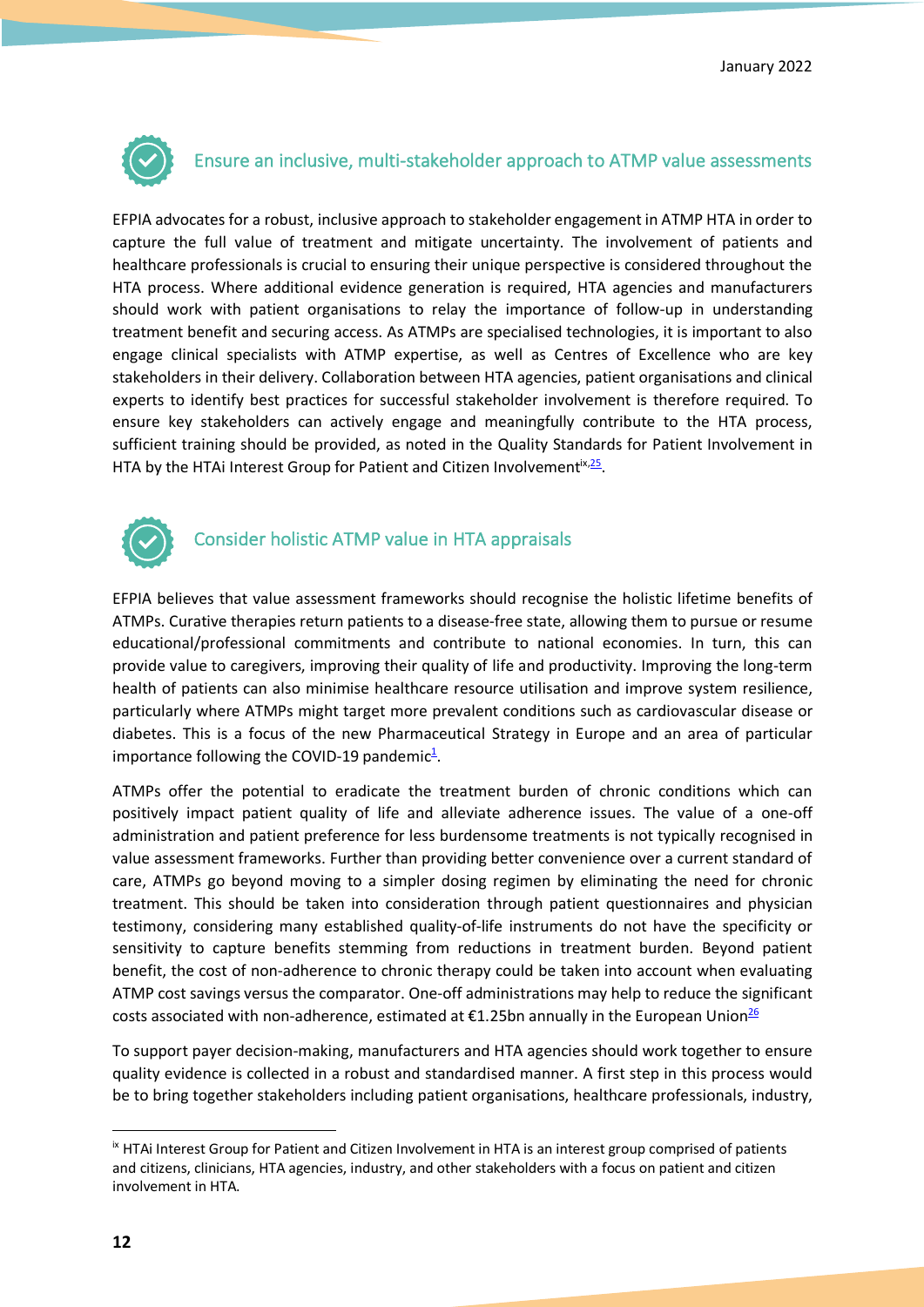

### Ensure an inclusive, multi-stakeholder approach to ATMP value assessments

EFPIA advocates for a robust, inclusive approach to stakeholder engagement in ATMP HTA in order to capture the full value of treatment and mitigate uncertainty. The involvement of patients and healthcare professionals is crucial to ensuring their unique perspective is considered throughout the HTA process. Where additional evidence generation is required, HTA agencies and manufacturers should work with patient organisations to relay the importance of follow-up in understanding treatment benefit and securing access. As ATMPs are specialised technologies, it is important to also engage clinical specialists with ATMP expertise, as well as Centres of Excellence who are key stakeholders in their delivery. Collaboration between HTA agencies, patient organisations and clinical experts to identify best practices for successful stakeholder involvement is therefore required. To ensure key stakeholders can actively engage and meaningfully contribute to the HTA process, sufficient training should be provided, as noted in the Quality Standards for Patient Involvement in HTA by the HTAi Interest Group for Patient and Citizen Involvement<sup>ix, 25</sup>.



## Consider holistic ATMP value in HTA appraisals

EFPIA believes that value assessment frameworks should recognise the holistic lifetime benefits of ATMPs. Curative therapies return patients to a disease-free state, allowing them to pursue or resume educational/professional commitments and contribute to national economies. In turn, this can provide value to caregivers, improving their quality of life and productivity. Improving the long-term health of patients can also minimise healthcare resource utilisation and improve system resilience, particularly where ATMPs might target more prevalent conditions such as cardiovascular disease or diabetes. This is a focus of the new Pharmaceutical Strategy in Europe and an area of particular importance following the COVID-19 pandemic $\frac{1}{2}$ .

ATMPs offer the potential to eradicate the treatment burden of chronic conditions which can positively impact patient quality of life and alleviate adherence issues. The value of a one-off administration and patient preference for less burdensome treatments is not typically recognised in value assessment frameworks. Further than providing better convenience over a current standard of care, ATMPs go beyond moving to a simpler dosing regimen by eliminating the need for chronic treatment. This should be taken into consideration through patient questionnaires and physician testimony, considering many established quality-of-life instruments do not have the specificity or sensitivity to capture benefits stemming from reductions in treatment burden. Beyond patient benefit, the cost of non-adherence to chronic therapy could be taken into account when evaluating ATMP cost savings versus the comparator. One-off administrations may help to reduce the significant costs associated with non-adherence, estimated at  $£1.25$ bn annually in the European Union<sup>26</sup>

To support payer decision-making, manufacturers and HTA agencies should work together to ensure quality evidence is collected in a robust and standardised manner. A first step in this process would be to bring together stakeholders including patient organisations, healthcare professionals, industry,

ix HTAi Interest Group for Patient and Citizen Involvement in HTA is an interest group comprised of patients and citizens, clinicians, HTA agencies, industry, and other stakeholders with a focus on patient and citizen involvement in HTA.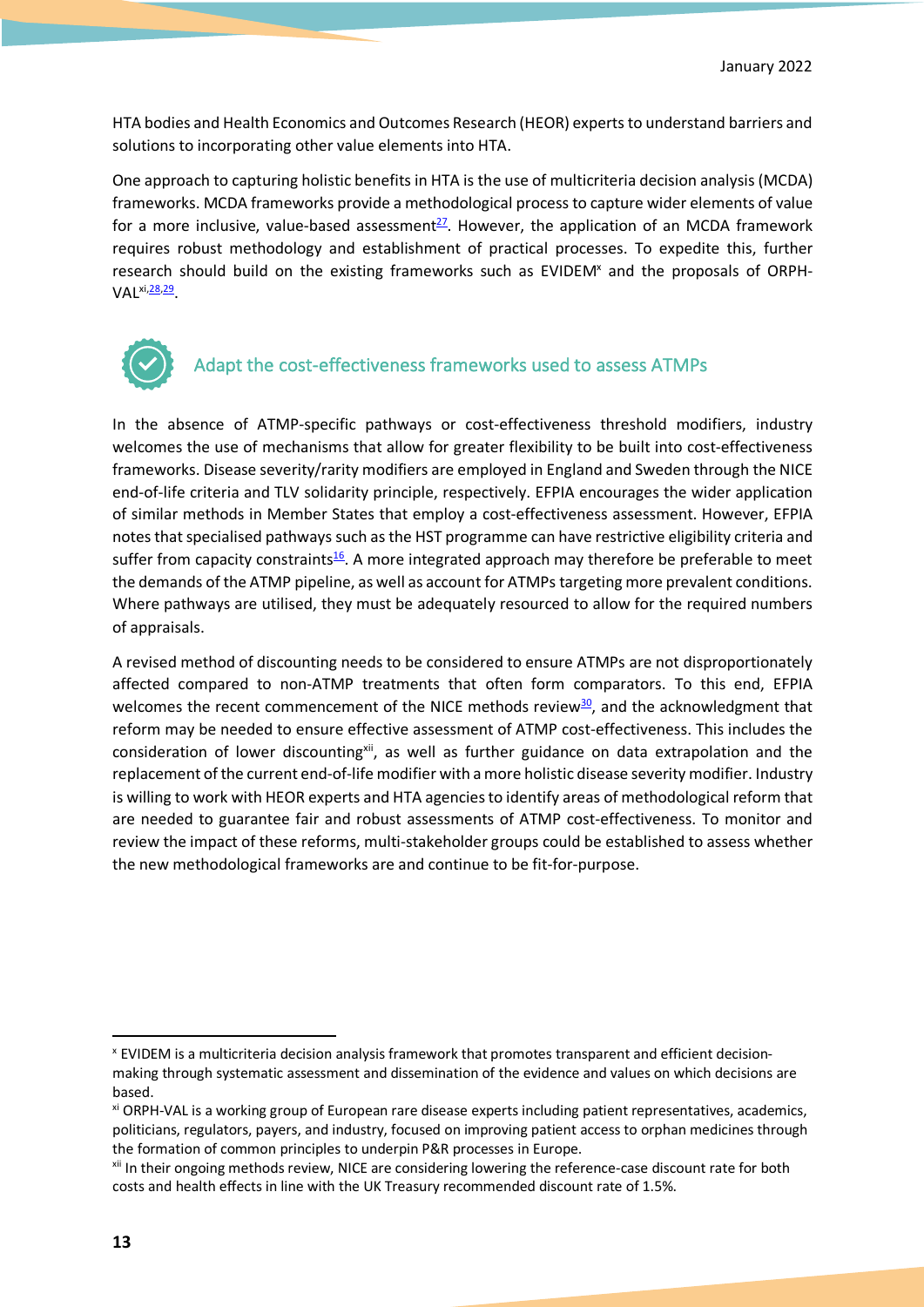HTA bodies and Health Economics and Outcomes Research (HEOR) experts to understand barriers and solutions to incorporating other value elements into HTA.

One approach to capturing holistic benefits in HTA is the use of multicriteria decision analysis (MCDA) frameworks. MCDA frameworks provide a methodological process to capture wider elements of value for a more inclusive, value-based assessment<sup>27</sup>. However, the application of an MCDA framework requires robust methodology and establishment of practical processes. To expedite this, further research should build on the existing frameworks such as EVIDEM<sup>x</sup> and the proposals of ORPH-VAL<sup>xi,28,29</sup>.



# Adapt the cost-effectiveness frameworks used to assess ATMPs

In the absence of ATMP-specific pathways or cost-effectiveness threshold modifiers, industry welcomes the use of mechanisms that allow for greater flexibility to be built into cost-effectiveness frameworks. Disease severity/rarity modifiers are employed in England and Sweden through the NICE end-of-life criteria and TLV solidarity principle, respectively. EFPIA encourages the wider application of similar methods in Member States that employ a cost-effectiveness assessment. However, EFPIA notes that specialised pathways such as the HST programme can have restrictive eligibility criteria and suffer from capacity constraints<sup>16</sup>. A more integrated approach may therefore be preferable to meet the demands of the ATMP pipeline, as well as account for ATMPs targeting more prevalent conditions. Where pathways are utilised, they must be adequately resourced to allow for the required numbers of appraisals.

A revised method of discounting needs to be considered to ensure ATMPs are not disproportionately affected compared to non-ATMP treatments that often form comparators. To this end, EFPIA welcomes the recent commencement of the NICE methods review $30$ , and the acknowledgment that reform may be needed to ensure effective assessment of ATMP cost-effectiveness. This includes the consideration of lower discounting<sup>xii</sup>, as well as further guidance on data extrapolation and the replacement of the current end-of-life modifier with a more holistic disease severity modifier. Industry is willing to work with HEOR experts and HTA agencies to identify areas of methodological reform that are needed to guarantee fair and robust assessments of ATMP cost-effectiveness. To monitor and review the impact of these reforms, multi-stakeholder groups could be established to assess whether the new methodological frameworks are and continue to be fit-for-purpose.

x EVIDEM is a multicriteria decision analysis framework that promotes transparent and efficient decisionmaking through systematic assessment and dissemination of the evidence and values on which decisions are based.

xi ORPH-VAL is a working group of European rare disease experts including patient representatives, academics, politicians, regulators, payers, and industry, focused on improving patient access to orphan medicines through the formation of common principles to underpin P&R processes in Europe.<br><sup>xii</sup> In their ongoing methods review, NICE are considering lowering the reference-case discount rate for both

costs and health effects in line with the UK Treasury recommended discount rate of 1.5%.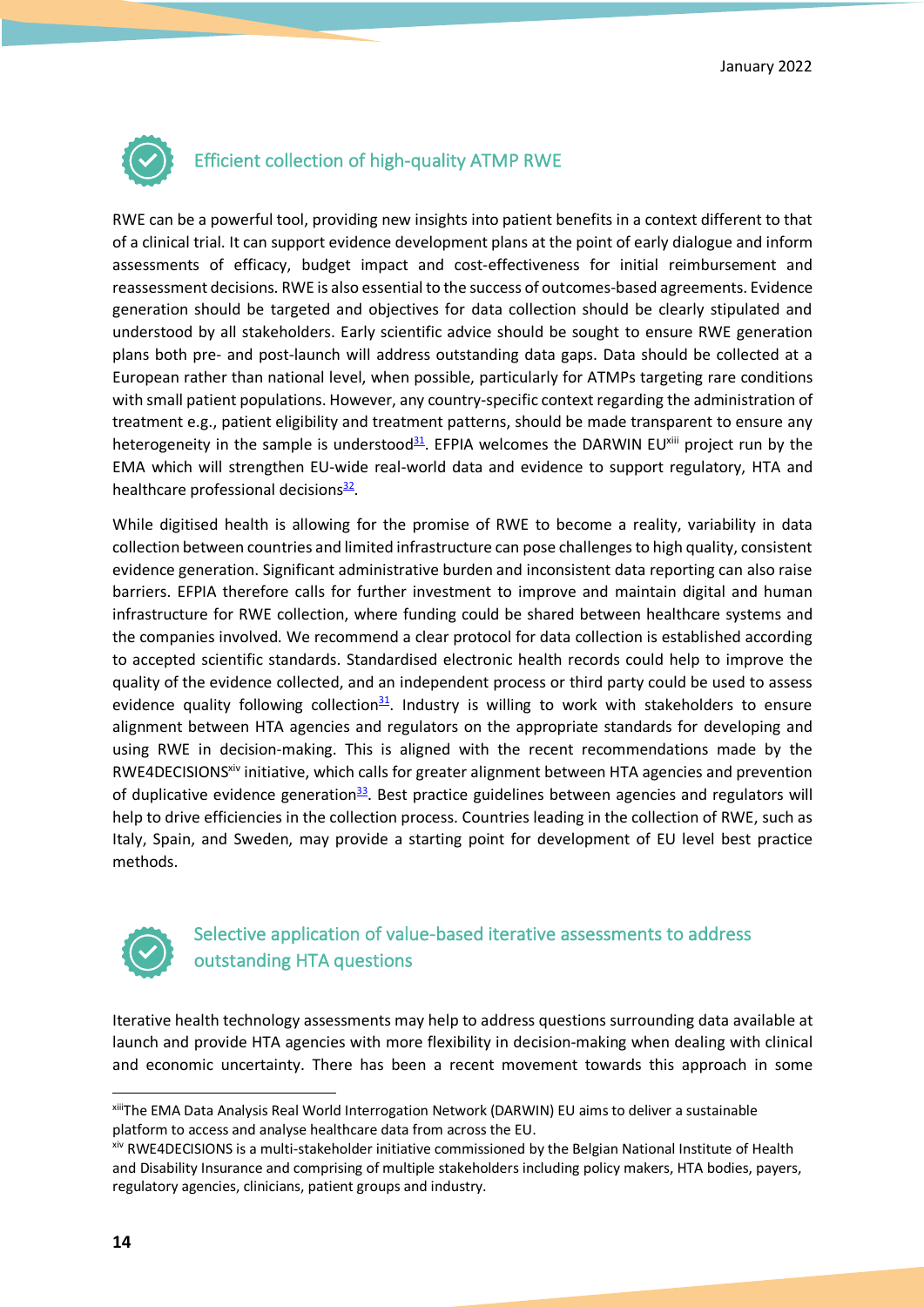

### Efficient collection of high-quality ATMP RWE

RWE can be a powerful tool, providing new insights into patient benefits in a context different to that of a clinical trial. It can support evidence development plans at the point of early dialogue and inform assessments of efficacy, budget impact and cost-effectiveness for initial reimbursement and reassessment decisions. RWE is also essential to the success of outcomes-based agreements. Evidence generation should be targeted and objectives for data collection should be clearly stipulated and understood by all stakeholders. Early scientific advice should be sought to ensure RWE generation plans both pre- and post-launch will address outstanding data gaps. Data should be collected at a European rather than national level, when possible, particularly for ATMPs targeting rare conditions with small patient populations. However, any country-specific context regarding the administration of treatment e.g., patient eligibility and treatment patterns, should be made transparent to ensure any heterogeneity in the sample is understood<sup>31</sup>. EFPIA welcomes the DARWIN EU<sup>xiii</sup> project run by the EMA which will strengthen EU-wide real-world data and evidence to support regulatory, HTA and healthcare professional decisions $\frac{32}{2}$ .

While digitised health is allowing for the promise of RWE to become a reality, variability in data collection between countries and limited infrastructure can pose challenges to high quality, consistent evidence generation. Significant administrative burden and inconsistent data reporting can also raise barriers. EFPIA therefore calls for further investment to improve and maintain digital and human infrastructure for RWE collection, where funding could be shared between healthcare systems and the companies involved. We recommend a clear protocol for data collection is established according to accepted scientific standards. Standardised electronic health records could help to improve the quality of the evidence collected, and an independent process or third party could be used to assess evidence quality following collection $\frac{31}{2}$ . Industry is willing to work with stakeholders to ensure alignment between HTA agencies and regulators on the appropriate standards for developing and using RWE in decision-making. This is aligned with the recent recommendations made by the RWE4DECISIONS<sup>xiv</sup> initiative, which calls for greater alignment between HTA agencies and prevention of duplicative evidence generation<sup>33</sup>. Best practice guidelines between agencies and regulators will help to drive efficiencies in the collection process. Countries leading in the collection of RWE, such as Italy, Spain, and Sweden, may provide a starting point for development of EU level best practice methods.



### Selective application of value-based iterative assessments to address outstanding HTA questions

Iterative health technology assessments may help to address questions surrounding data available at launch and provide HTA agencies with more flexibility in decision-making when dealing with clinical and economic uncertainty. There has been a recent movement towards this approach in some

xiiiThe EMA Data Analysis Real World Interrogation Network (DARWIN) EU aims to deliver a sustainable platform to access and analyse healthcare data from across the EU.

xiv RWE4DECISIONS is a multi-stakeholder initiative commissioned by the Belgian National Institute of Health and Disability Insurance and comprising of multiple stakeholders including policy makers, HTA bodies, payers, regulatory agencies, clinicians, patient groups and industry.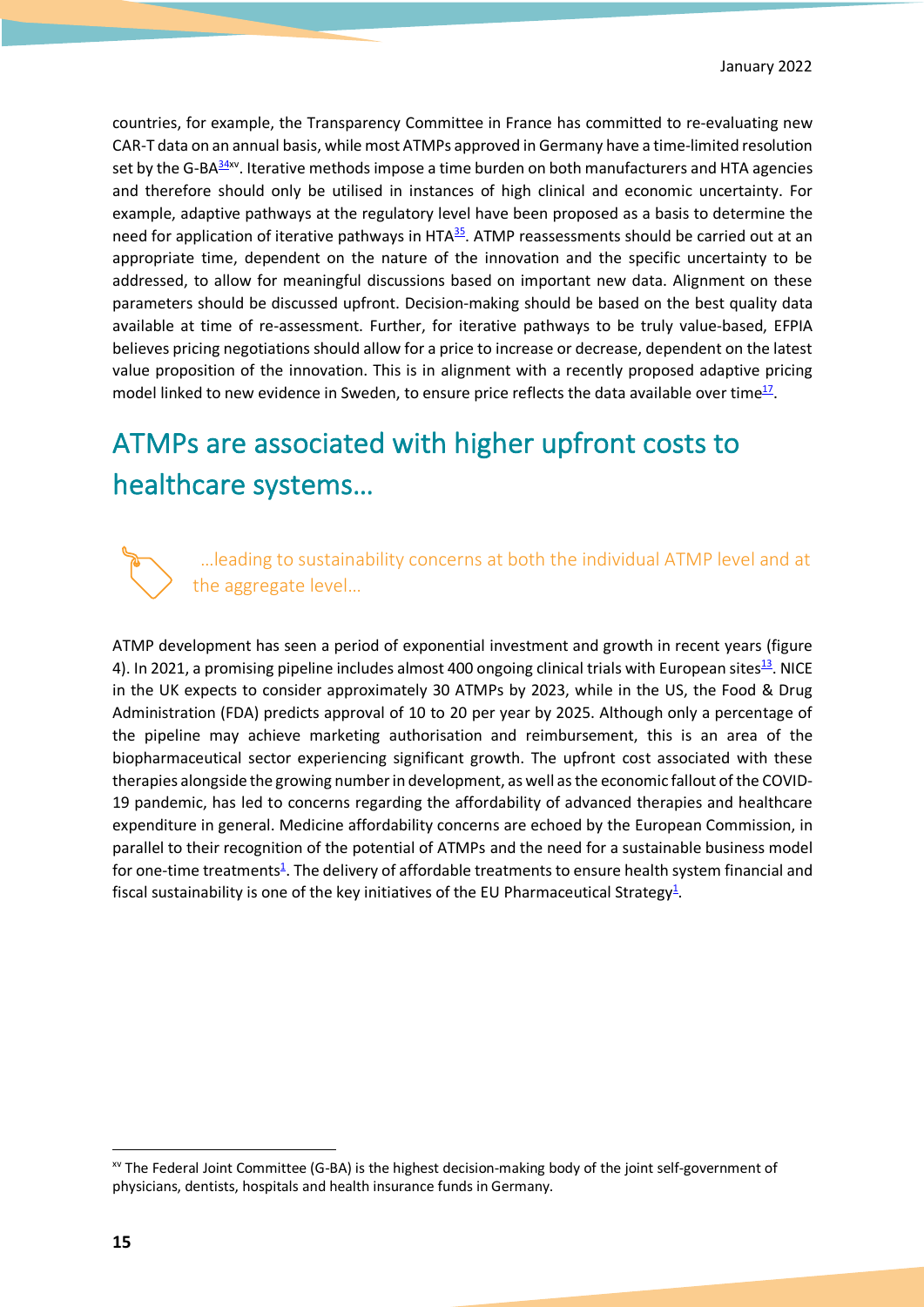countries, for example, the Transparency Committee in France has committed to re-evaluating new CAR-T data on an annual basis, while most ATMPs approved in Germany have a time-limited resolution set by the G-BA $\frac{34}{x}$ . Iterative methods impose a time burden on both manufacturers and HTA agencies and therefore should only be utilised in instances of high clinical and economic uncertainty. For example, adaptive pathways at the regulatory level have been proposed as a basis to determine the need for application of iterative pathways in HTA<sup>35</sup>. ATMP reassessments should be carried out at an appropriate time, dependent on the nature of the innovation and the specific uncertainty to be addressed, to allow for meaningful discussions based on important new data. Alignment on these parameters should be discussed upfront. Decision-making should be based on the best quality data available at time of re-assessment. Further, for iterative pathways to be truly value-based, EFPIA believes pricing negotiations should allow for a price to increase or decrease, dependent on the latest value proposition of the innovation. This is in alignment with a recently proposed adaptive pricing model linked to new evidence in Sweden, to ensure price reflects the data available over time $^{17}$ .

# ATMPs are associated with higher upfront costs to healthcare systems…



 …leading to sustainability concerns at both the individual ATMP level and at the aggregate level…

ATMP development has seen a period of exponential investment and growth in recent years (figure 4). In 2021, a promising pipeline includes almost 400 ongoing clinical trials with European sites $^{13}$ . NICE in the UK expects to consider approximately 30 ATMPs by 2023, while in the US, the Food & Drug Administration (FDA) predicts approval of 10 to 20 per year by 2025. Although only a percentage of the pipeline may achieve marketing authorisation and reimbursement, this is an area of the biopharmaceutical sector experiencing significant growth. The upfront cost associated with these therapies alongside the growing number in development, as well as the economic fallout of the COVID-19 pandemic, has led to concerns regarding the affordability of advanced therapies and healthcare expenditure in general. Medicine affordability concerns are echoed by the European Commission, in parallel to their recognition of the potential of ATMPs and the need for a sustainable business model for one-time treatments<sup>1</sup>. The delivery of affordable treatments to ensure health system financial and fiscal sustainability is one of the key initiatives of the EU Pharmaceutical Strategy<sup>1</sup>.

xv The Federal Joint Committee (G-BA) is the highest decision-making body of the joint self-government of physicians, dentists, hospitals and health insurance funds in Germany.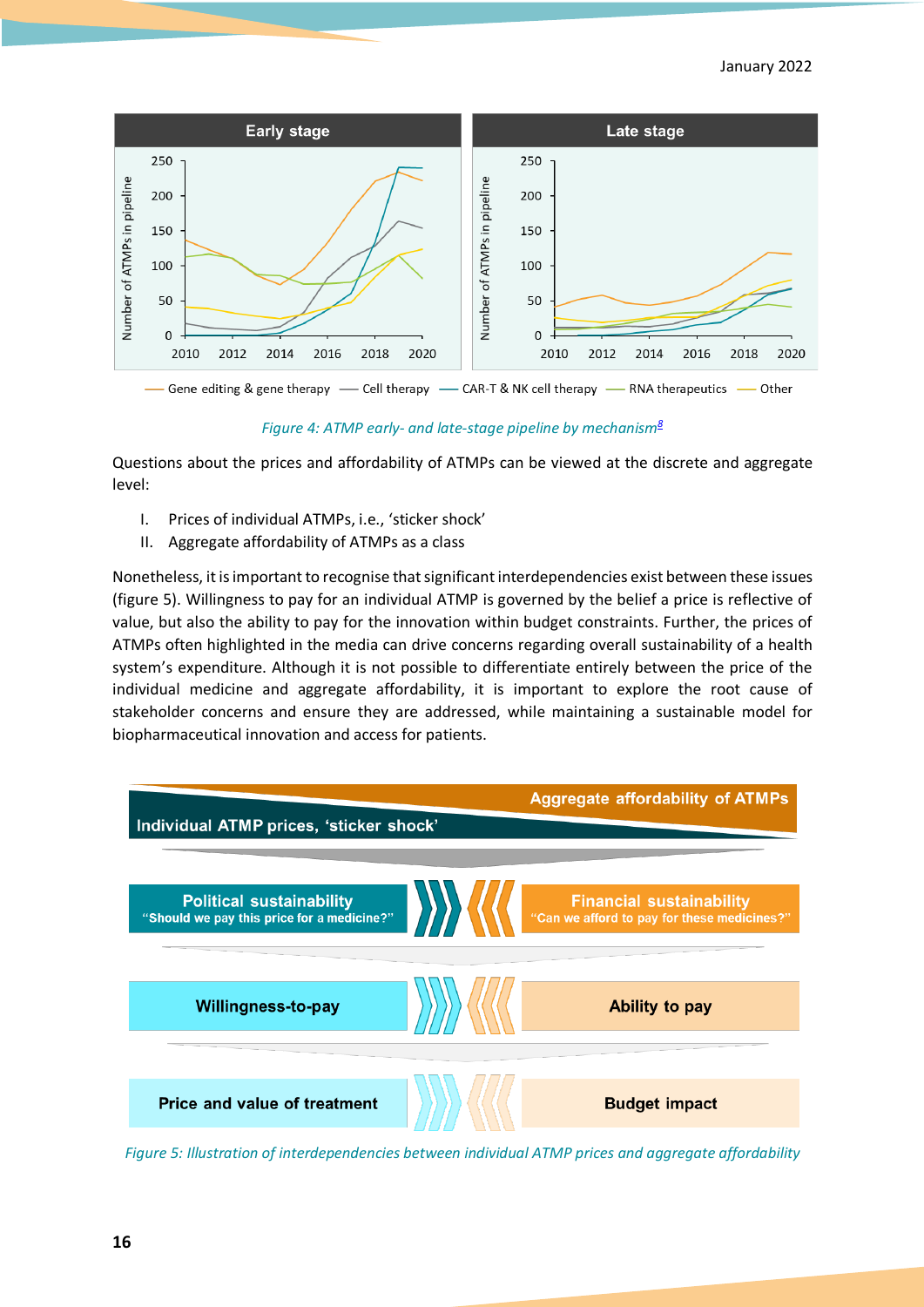#### January 2022



- Gene editing & gene therapy - Cell therapy - CAR-T & NK cell therapy - RNA therapeutics - Other

*Figure 4: ATMP early- and late-stage pipeline by mechanism8*

Questions about the prices and affordability of ATMPs can be viewed at the discrete and aggregate level:

- I. Prices of individual ATMPs, i.e., 'sticker shock'
- II. Aggregate affordability of ATMPs as a class

Nonetheless, it is important to recognise that significant interdependencies exist between these issues (figure 5). Willingness to pay for an individual ATMP is governed by the belief a price is reflective of value, but also the ability to pay for the innovation within budget constraints. Further, the prices of ATMPs often highlighted in the media can drive concerns regarding overall sustainability of a health system's expenditure. Although it is not possible to differentiate entirely between the price of the individual medicine and aggregate affordability, it is important to explore the root cause of stakeholder concerns and ensure they are addressed, while maintaining a sustainable model for biopharmaceutical innovation and access for patients.



*Figure 5: Illustration of interdependencies between individual ATMP prices and aggregate affordability*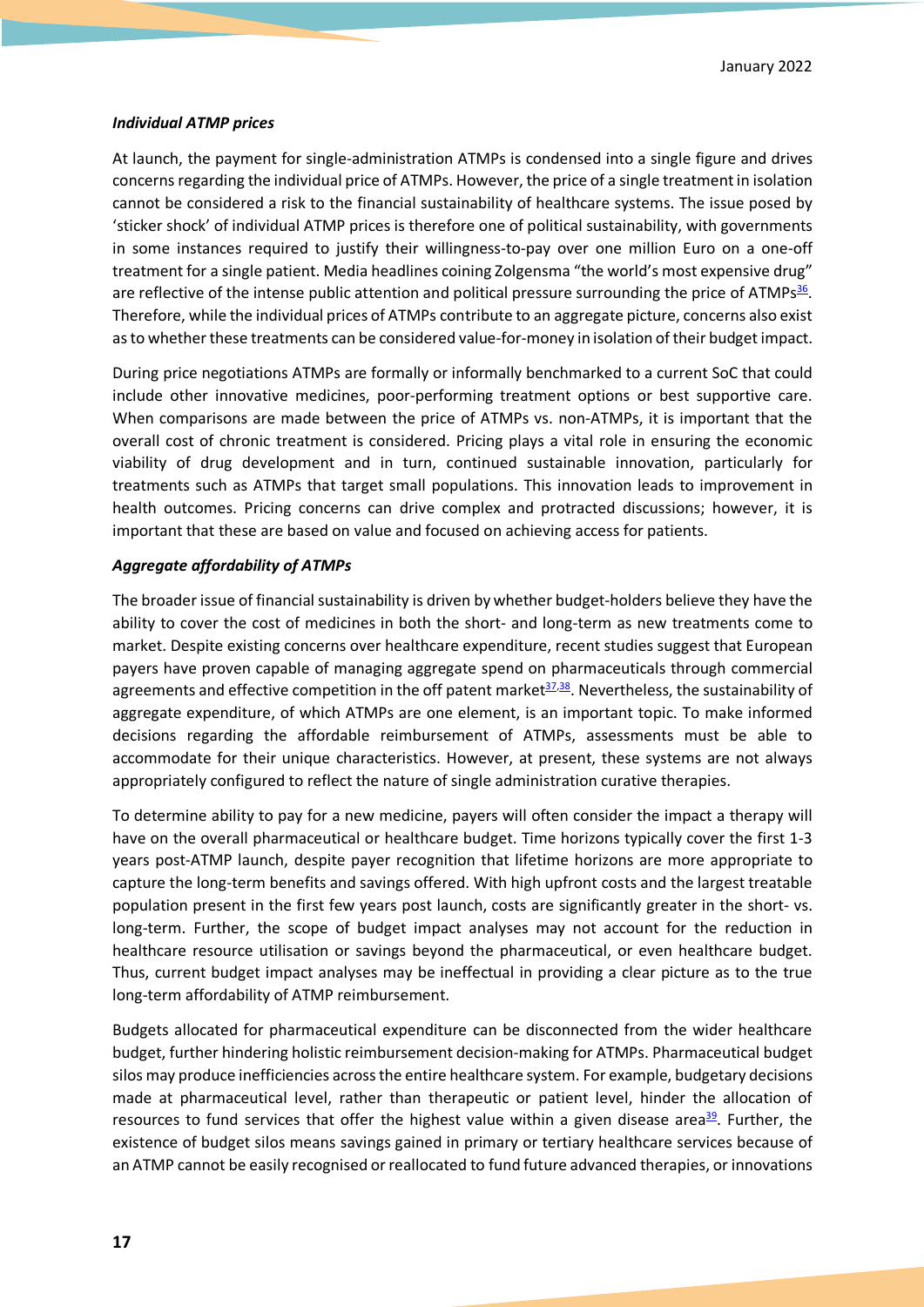#### *Individual ATMP prices*

At launch, the payment for single-administration ATMPs is condensed into a single figure and drives concerns regarding the individual price of ATMPs. However, the price of a single treatment in isolation cannot be considered a risk to the financial sustainability of healthcare systems. The issue posed by 'sticker shock' of individual ATMP prices is therefore one of political sustainability, with governments in some instances required to justify their willingness-to-pay over one million Euro on a one-off treatment for a single patient. Media headlines coining Zolgensma "the world's most expensive drug" are reflective of the intense public attention and political pressure surrounding the price of ATMPs<sup>36</sup>. Therefore, while the individual prices of ATMPs contribute to an aggregate picture, concerns also exist as to whether these treatments can be considered value-for-money in isolation of their budget impact.

During price negotiations ATMPs are formally or informally benchmarked to a current SoC that could include other innovative medicines, poor-performing treatment options or best supportive care. When comparisons are made between the price of ATMPs vs. non-ATMPs, it is important that the overall cost of chronic treatment is considered. Pricing plays a vital role in ensuring the economic viability of drug development and in turn, continued sustainable innovation, particularly for treatments such as ATMPs that target small populations. This innovation leads to improvement in health outcomes. Pricing concerns can drive complex and protracted discussions; however, it is important that these are based on value and focused on achieving access for patients.

#### *Aggregate affordability of ATMPs*

The broader issue of financial sustainability is driven by whether budget-holders believe they have the ability to cover the cost of medicines in both the short- and long-term as new treatments come to market. Despite existing concerns over healthcare expenditure, recent studies suggest that European payers have proven capable of managing aggregate spend on pharmaceuticals through commercial agreements and effective competition in the off patent market<sup>37,38</sup>. Nevertheless, the sustainability of aggregate expenditure, of which ATMPs are one element, is an important topic. To make informed decisions regarding the affordable reimbursement of ATMPs, assessments must be able to accommodate for their unique characteristics. However, at present, these systems are not always appropriately configured to reflect the nature of single administration curative therapies.

To determine ability to pay for a new medicine, payers will often consider the impact a therapy will have on the overall pharmaceutical or healthcare budget. Time horizons typically cover the first 1-3 years post-ATMP launch, despite payer recognition that lifetime horizons are more appropriate to capture the long-term benefits and savings offered. With high upfront costs and the largest treatable population present in the first few years post launch, costs are significantly greater in the short- vs. long-term. Further, the scope of budget impact analyses may not account for the reduction in healthcare resource utilisation or savings beyond the pharmaceutical, or even healthcare budget. Thus, current budget impact analyses may be ineffectual in providing a clear picture as to the true long-term affordability of ATMP reimbursement.

Budgets allocated for pharmaceutical expenditure can be disconnected from the wider healthcare budget, further hindering holistic reimbursement decision-making for ATMPs. Pharmaceutical budget silos may produce inefficiencies across the entire healthcare system. For example, budgetary decisions made at pharmaceutical level, rather than therapeutic or patient level, hinder the allocation of resources to fund services that offer the highest value within a given disease area<sup>39</sup>. Further, the existence of budget silos means savings gained in primary or tertiary healthcare services because of an ATMP cannot be easily recognised or reallocated to fund future advanced therapies, or innovations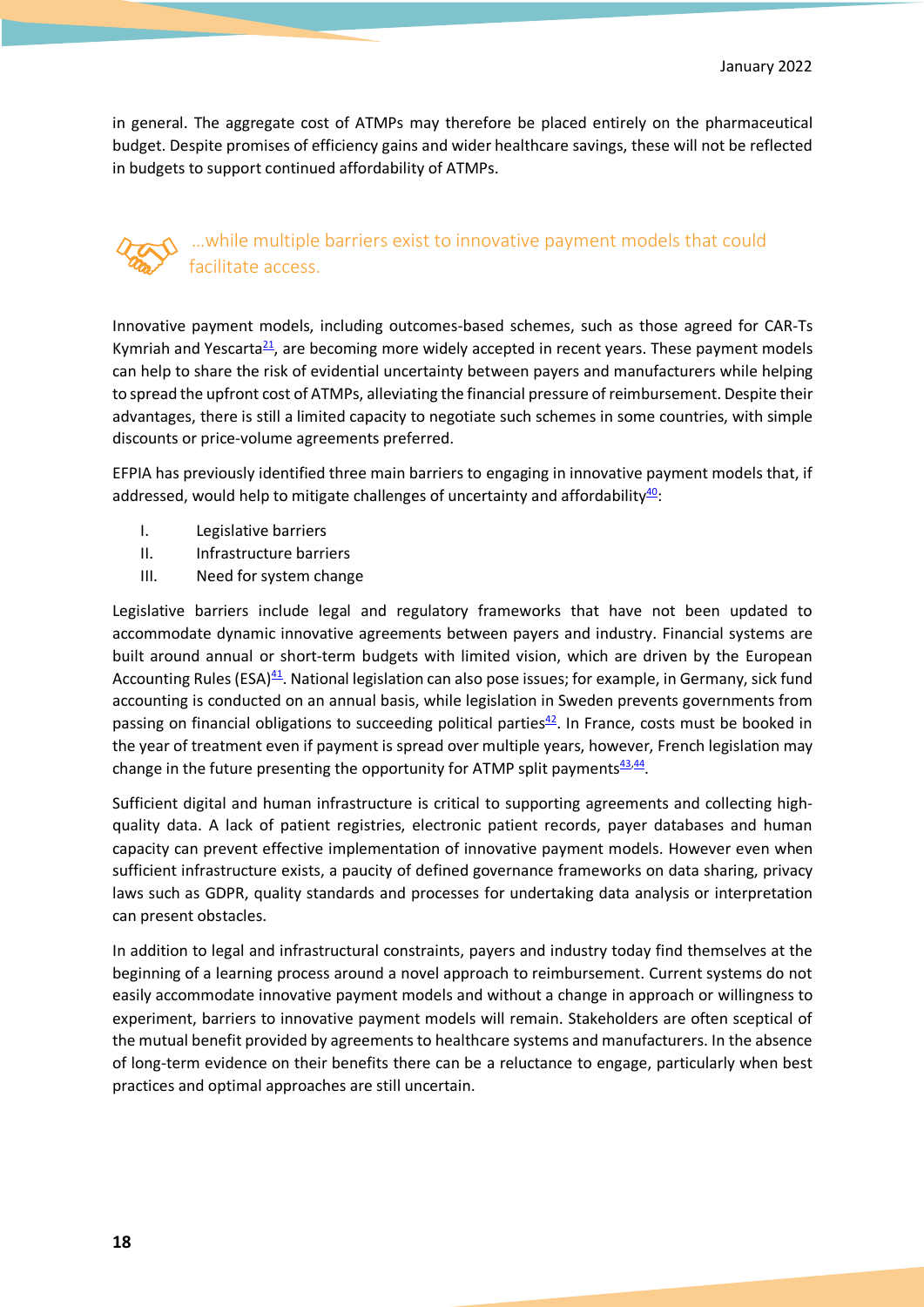in general. The aggregate cost of ATMPs may therefore be placed entirely on the pharmaceutical budget. Despite promises of efficiency gains and wider healthcare savings, these will not be reflected in budgets to support continued affordability of ATMPs.

### …while multiple barriers exist to innovative payment models that could facilitate access.

Innovative payment models, including outcomes-based schemes, such as those agreed for CAR-Ts Kymriah and Yescarta<sup>21</sup>, are becoming more widely accepted in recent years. These payment models can help to share the risk of evidential uncertainty between payers and manufacturers while helping to spread the upfront cost of ATMPs, alleviating the financial pressure of reimbursement. Despite their advantages, there is still a limited capacity to negotiate such schemes in some countries, with simple discounts or price-volume agreements preferred.

EFPIA has previously identified three main barriers to engaging in innovative payment models that, if addressed, would help to mitigate challenges of uncertainty and affordability $40$ :

- I. Legislative barriers
- II. Infrastructure barriers
- III. Need for system change

Legislative barriers include legal and regulatory frameworks that have not been updated to accommodate dynamic innovative agreements between payers and industry. Financial systems are built around annual or short-term budgets with limited vision, which are driven by the European Accounting Rules (ESA)<sup>41</sup>. National legislation can also pose issues; for example, in Germany, sick fund accounting is conducted on an annual basis, while legislation in Sweden prevents governments from passing on financial obligations to succeeding political parties $42$ . In France, costs must be booked in the year of treatment even if payment is spread over multiple years, however, French legislation may change in the future presenting the opportunity for ATMP split payments $\frac{43,44}{2}$ .

Sufficient digital and human infrastructure is critical to supporting agreements and collecting highquality data. A lack of patient registries, electronic patient records, payer databases and human capacity can prevent effective implementation of innovative payment models. However even when sufficient infrastructure exists, a paucity of defined governance frameworks on data sharing, privacy laws such as GDPR, quality standards and processes for undertaking data analysis or interpretation can present obstacles.

In addition to legal and infrastructural constraints, payers and industry today find themselves at the beginning of a learning process around a novel approach to reimbursement. Current systems do not easily accommodate innovative payment models and without a change in approach or willingness to experiment, barriers to innovative payment models will remain. Stakeholders are often sceptical of the mutual benefit provided by agreements to healthcare systems and manufacturers. In the absence of long-term evidence on their benefits there can be a reluctance to engage, particularly when best practices and optimal approaches are still uncertain.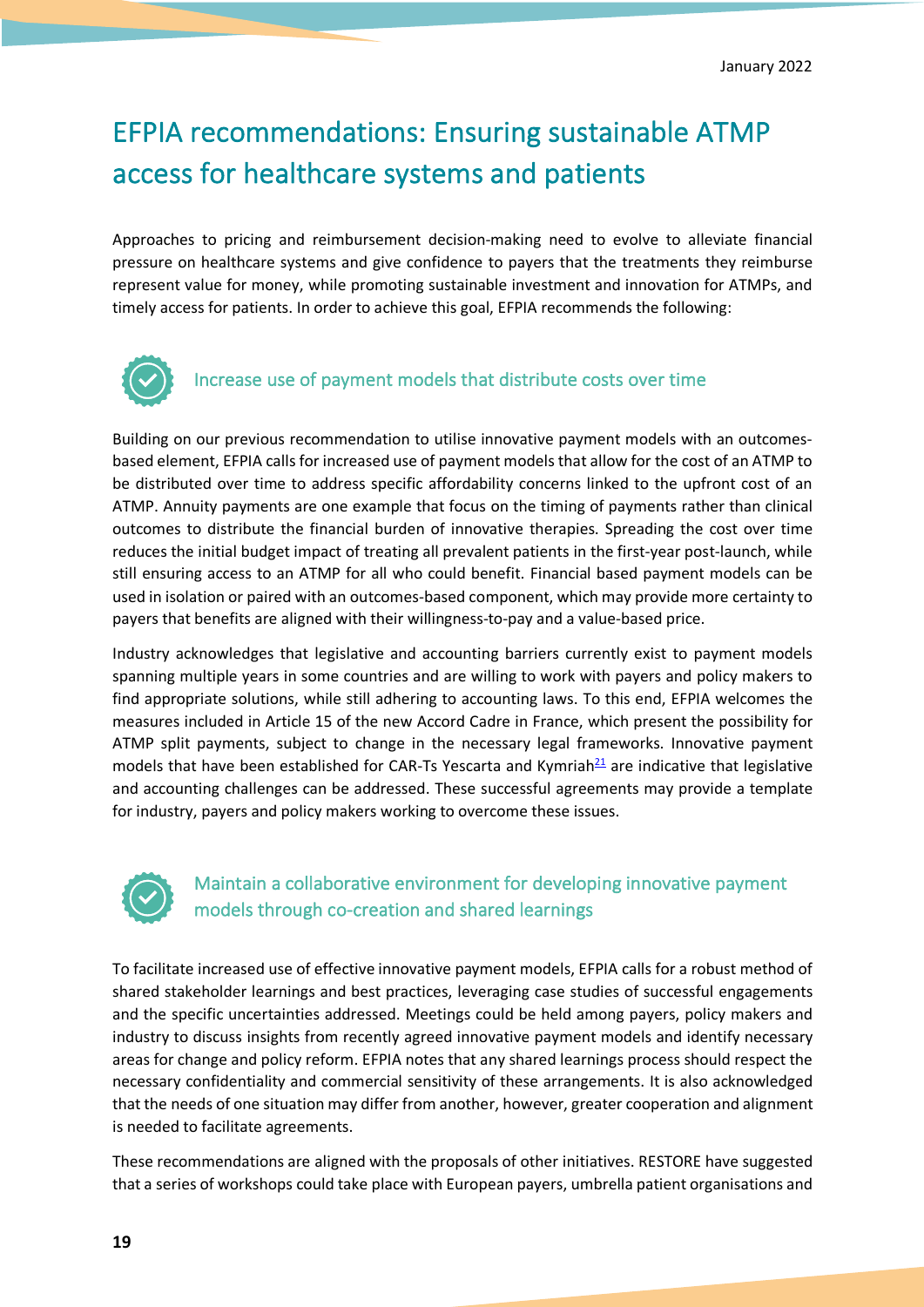# EFPIA recommendations: Ensuring sustainable ATMP access for healthcare systems and patients

Approaches to pricing and reimbursement decision-making need to evolve to alleviate financial pressure on healthcare systems and give confidence to payers that the treatments they reimburse represent value for money, while promoting sustainable investment and innovation for ATMPs, and timely access for patients. In order to achieve this goal, EFPIA recommends the following:



### Increase use of payment models that distribute costs over time

Building on our previous recommendation to utilise innovative payment models with an outcomesbased element, EFPIA calls for increased use of payment models that allow for the cost of an ATMP to be distributed over time to address specific affordability concerns linked to the upfront cost of an ATMP. Annuity payments are one example that focus on the timing of payments rather than clinical outcomes to distribute the financial burden of innovative therapies. Spreading the cost over time reduces the initial budget impact of treating all prevalent patients in the first-year post-launch, while still ensuring access to an ATMP for all who could benefit. Financial based payment models can be used in isolation or paired with an outcomes-based component, which may provide more certainty to payers that benefits are aligned with their willingness-to-pay and a value-based price.

Industry acknowledges that legislative and accounting barriers currently exist to payment models spanning multiple years in some countries and are willing to work with payers and policy makers to find appropriate solutions, while still adhering to accounting laws. To this end, EFPIA welcomes the measures included in Article 15 of the new Accord Cadre in France, which present the possibility for ATMP split payments, subject to change in the necessary legal frameworks. Innovative payment models that have been established for CAR-Ts Yescarta and Kymriah<sup>21</sup> are indicative that legislative and accounting challenges can be addressed. These successful agreements may provide a template for industry, payers and policy makers working to overcome these issues.



### Maintain a collaborative environment for developing innovative payment models through co-creation and shared learnings

To facilitate increased use of effective innovative payment models, EFPIA calls for a robust method of shared stakeholder learnings and best practices, leveraging case studies of successful engagements and the specific uncertainties addressed. Meetings could be held among payers, policy makers and industry to discuss insights from recently agreed innovative payment models and identify necessary areas for change and policy reform. EFPIA notes that any shared learnings process should respect the necessary confidentiality and commercial sensitivity of these arrangements. It is also acknowledged that the needs of one situation may differ from another, however, greater cooperation and alignment is needed to facilitate agreements.

These recommendations are aligned with the proposals of other initiatives. RESTORE have suggested that a series of workshops could take place with European payers, umbrella patient organisations and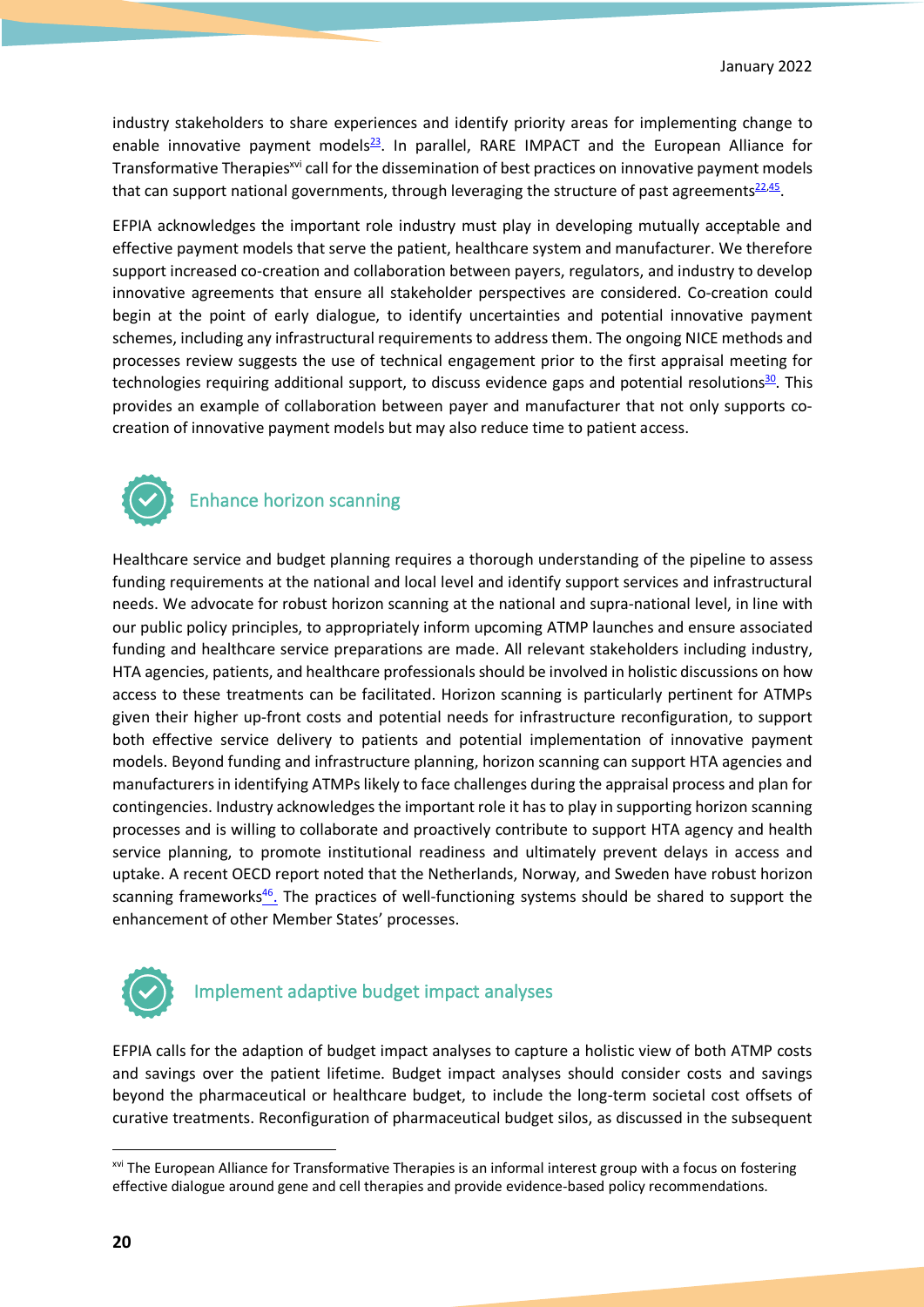industry stakeholders to share experiences and identify priority areas for implementing change to enable innovative payment models<sup>23</sup>. In parallel, RARE IMPACT and the European Alliance for Transformative Therapies<sup>xvi</sup> call for the dissemination of best practices on innovative payment models that can support national governments, through leveraging the structure of past agreements<sup>22,45</sup>.

EFPIA acknowledges the important role industry must play in developing mutually acceptable and effective payment models that serve the patient, healthcare system and manufacturer. We therefore support increased co-creation and collaboration between payers, regulators, and industry to develop innovative agreements that ensure all stakeholder perspectives are considered. Co-creation could begin at the point of early dialogue, to identify uncertainties and potential innovative payment schemes, including any infrastructural requirements to address them. The ongoing NICE methods and processes review suggests the use of technical engagement prior to the first appraisal meeting for technologies requiring additional support, to discuss evidence gaps and potential resolutions $\frac{30}{2}$ . This provides an example of collaboration between payer and manufacturer that not only supports cocreation of innovative payment models but may also reduce time to patient access.



# Enhance horizon scanning

Healthcare service and budget planning requires a thorough understanding of the pipeline to assess funding requirements at the national and local level and identify support services and infrastructural needs. We advocate for robust horizon scanning at the national and supra-national level, in line with our public policy principles, to appropriately inform upcoming ATMP launches and ensure associated funding and healthcare service preparations are made. All relevant stakeholders including industry, HTA agencies, patients, and healthcare professionals should be involved in holistic discussions on how access to these treatments can be facilitated. Horizon scanning is particularly pertinent for ATMPs given their higher up-front costs and potential needs for infrastructure reconfiguration, to support both effective service delivery to patients and potential implementation of innovative payment models. Beyond funding and infrastructure planning, horizon scanning can support HTA agencies and manufacturers in identifying ATMPs likely to face challenges during the appraisal process and plan for contingencies. Industry acknowledges the important role it has to play in supporting horizon scanning processes and is willing to collaborate and proactively contribute to support HTA agency and health service planning, to promote institutional readiness and ultimately prevent delays in access and uptake. A recent OECD report noted that the Netherlands, Norway, and Sweden have robust horizon scanning frameworks<sup>46</sup>. The practices of well-functioning systems should be shared to support the enhancement of other Member States' processes.



# Implement adaptive budget impact analyses

EFPIA calls for the adaption of budget impact analyses to capture a holistic view of both ATMP costs and savings over the patient lifetime. Budget impact analyses should consider costs and savings beyond the pharmaceutical or healthcare budget, to include the long-term societal cost offsets of curative treatments. Reconfiguration of pharmaceutical budget silos, as discussed in the subsequent

xvi The European Alliance for Transformative Therapies is an informal interest group with a focus on fostering effective dialogue around gene and cell therapies and provide evidence-based policy recommendations.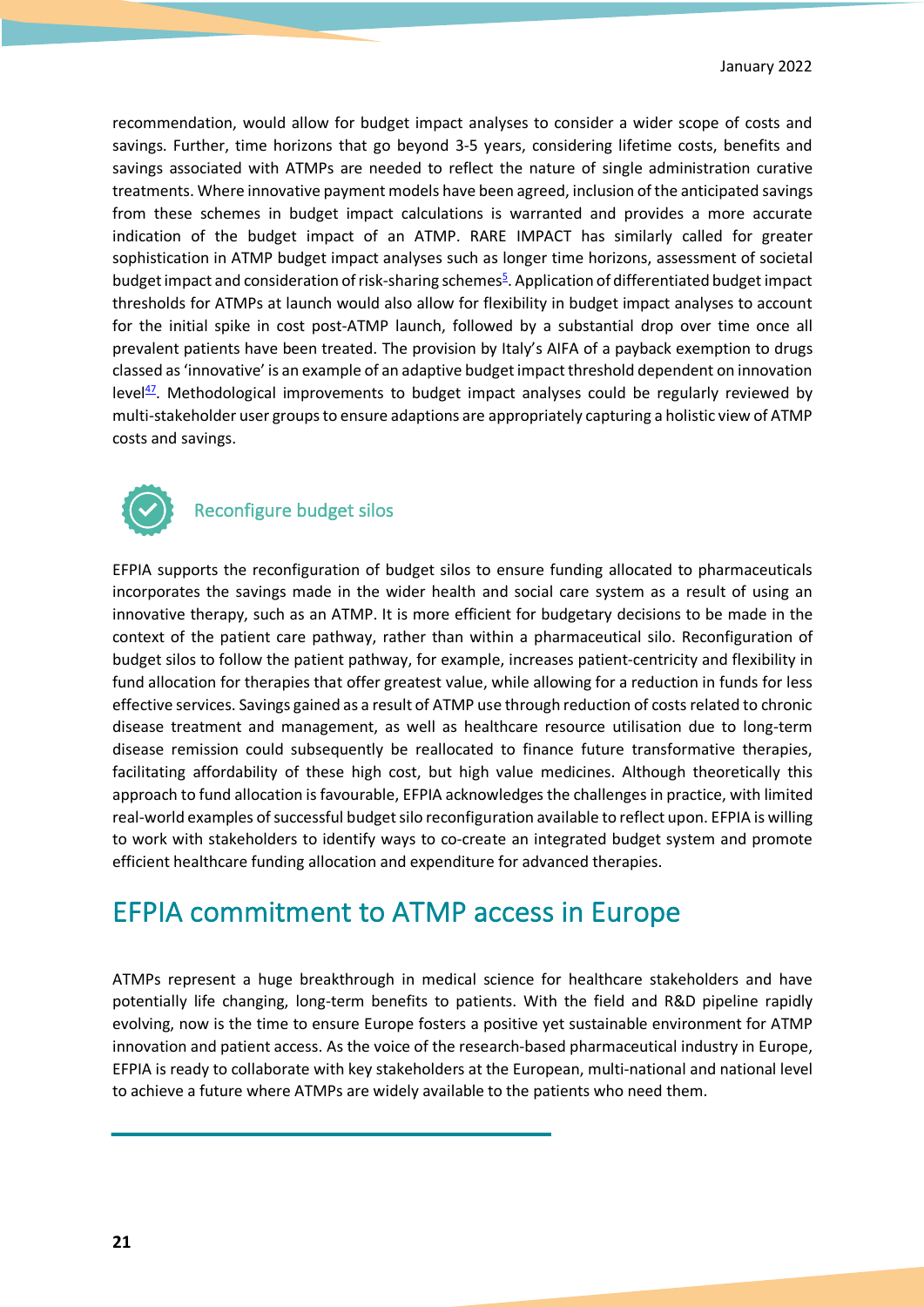recommendation, would allow for budget impact analyses to consider a wider scope of costs and savings. Further, time horizons that go beyond 3-5 years, considering lifetime costs, benefits and savings associated with ATMPs are needed to reflect the nature of single administration curative treatments. Where innovative payment models have been agreed, inclusion of the anticipated savings from these schemes in budget impact calculations is warranted and provides a more accurate indication of the budget impact of an ATMP. RARE IMPACT has similarly called for greater sophistication in ATMP budget impact analyses such as longer time horizons, assessment of societal budget impact and consideration of risk-sharing schemes<sup>5</sup>. Application of differentiated budget impact thresholds for ATMPs at launch would also allow for flexibility in budget impact analyses to account for the initial spike in cost post-ATMP launch, followed by a substantial drop over time once all prevalent patients have been treated. The provision by Italy's AIFA of a payback exemption to drugs classed as 'innovative' is an example of an adaptive budget impact threshold dependent on innovation level $47$ . Methodological improvements to budget impact analyses could be regularly reviewed by multi-stakeholder user groups to ensure adaptions are appropriately capturing a holistic view of ATMP costs and savings.



### Reconfigure budget silos

EFPIA supports the reconfiguration of budget silos to ensure funding allocated to pharmaceuticals incorporates the savings made in the wider health and social care system as a result of using an innovative therapy, such as an ATMP. It is more efficient for budgetary decisions to be made in the context of the patient care pathway, rather than within a pharmaceutical silo. Reconfiguration of budget silos to follow the patient pathway, for example, increases patient-centricity and flexibility in fund allocation for therapies that offer greatest value, while allowing for a reduction in funds for less effective services. Savings gained as a result of ATMP use through reduction of costs related to chronic disease treatment and management, as well as healthcare resource utilisation due to long-term disease remission could subsequently be reallocated to finance future transformative therapies, facilitating affordability of these high cost, but high value medicines. Although theoretically this approach to fund allocation is favourable, EFPIA acknowledges the challenges in practice, with limited real-world examples of successful budget silo reconfiguration available to reflect upon. EFPIA is willing to work with stakeholders to identify ways to co-create an integrated budget system and promote efficient healthcare funding allocation and expenditure for advanced therapies.

# EFPIA commitment to ATMP access in Europe

ATMPs represent a huge breakthrough in medical science for healthcare stakeholders and have potentially life changing, long-term benefits to patients. With the field and R&D pipeline rapidly evolving, now is the time to ensure Europe fosters a positive yet sustainable environment for ATMP innovation and patient access. As the voice of the research-based pharmaceutical industry in Europe, EFPIA is ready to collaborate with key stakeholders at the European, multi-national and national level to achieve a future where ATMPs are widely available to the patients who need them.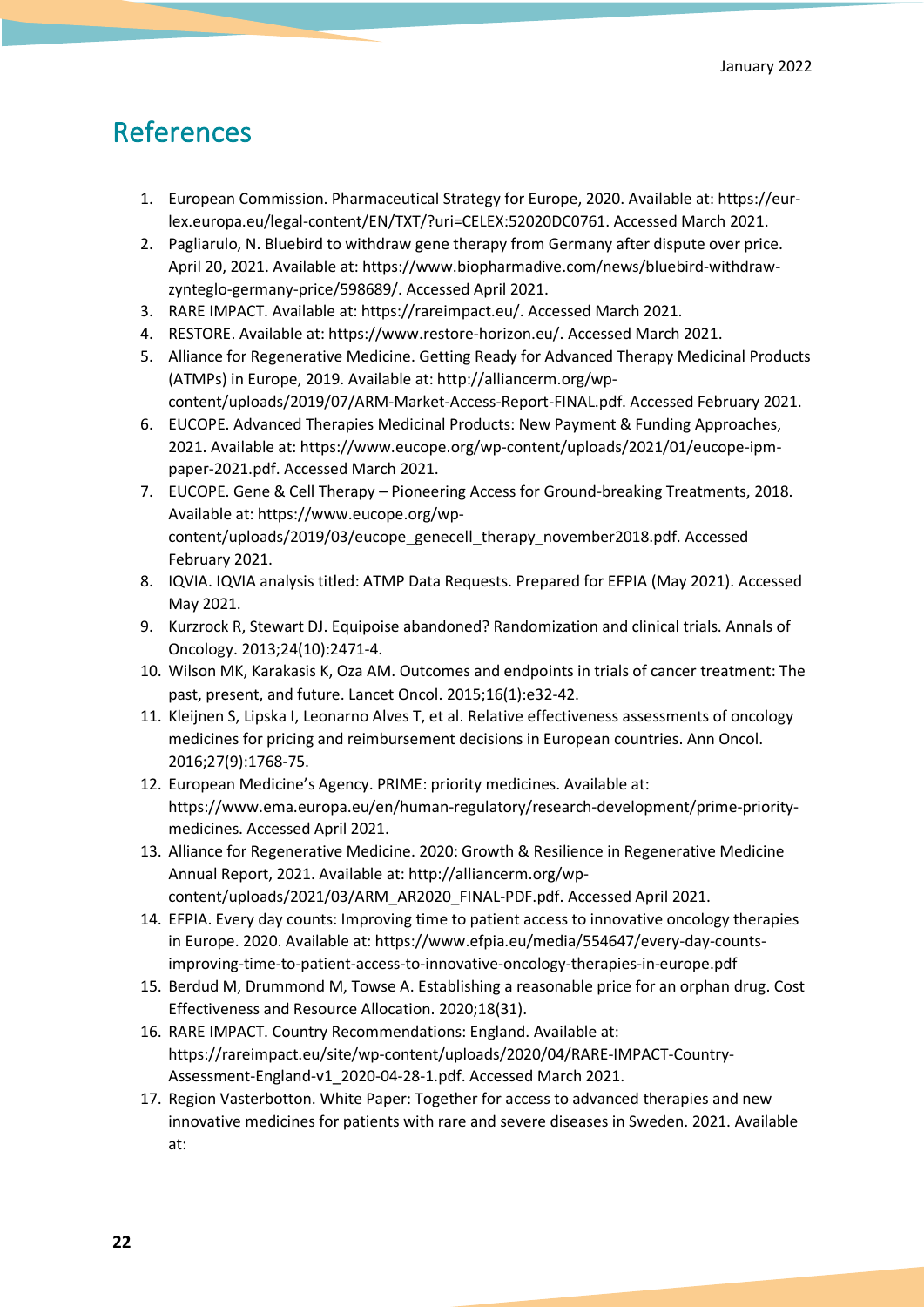# References

- 1. European Commission. Pharmaceutical Strategy for Europe, 2020. Available at: https://eurlex.europa.eu/legal-content/EN/TXT/?uri=CELEX:52020DC0761. Accessed March 2021.
- 2. Pagliarulo, N. Bluebird to withdraw gene therapy from Germany after dispute over price. April 20, 2021. Available at: https://www.biopharmadive.com/news/bluebird-withdrawzynteglo-germany-price/598689/. Accessed April 2021.
- 3. RARE IMPACT. Available at: https://rareimpact.eu/. Accessed March 2021.
- 4. RESTORE. Available at: https://www.restore-horizon.eu/. Accessed March 2021.
- 5. Alliance for Regenerative Medicine. Getting Ready for Advanced Therapy Medicinal Products (ATMPs) in Europe, 2019. Available at: http://alliancerm.org/wpcontent/uploads/2019/07/ARM-Market-Access-Report-FINAL.pdf. Accessed February 2021.
- 6. EUCOPE. Advanced Therapies Medicinal Products: New Payment & Funding Approaches, 2021. Available at: https://www.eucope.org/wp-content/uploads/2021/01/eucope-ipmpaper-2021.pdf. Accessed March 2021.
- 7. EUCOPE. Gene & Cell Therapy Pioneering Access for Ground-breaking Treatments, 2018. Available at: https://www.eucope.org/wpcontent/uploads/2019/03/eucope\_genecell\_therapy\_november2018.pdf. Accessed February 2021.
- 8. IQVIA. IQVIA analysis titled: ATMP Data Requests. Prepared for EFPIA (May 2021). Accessed May 2021.
- 9. Kurzrock R, Stewart DJ. Equipoise abandoned? Randomization and clinical trials. Annals of Oncology. 2013;24(10):2471-4.
- 10. Wilson MK, Karakasis K, Oza AM. Outcomes and endpoints in trials of cancer treatment: The past, present, and future. Lancet Oncol. 2015;16(1):e32-42.
- 11. Kleijnen S, Lipska I, Leonarno Alves T, et al. Relative effectiveness assessments of oncology medicines for pricing and reimbursement decisions in European countries. Ann Oncol. 2016;27(9):1768-75.
- 12. European Medicine's Agency. PRIME: priority medicines. Available at: https://www.ema.europa.eu/en/human-regulatory/research-development/prime-prioritymedicines. Accessed April 2021.
- 13. Alliance for Regenerative Medicine. 2020: Growth & Resilience in Regenerative Medicine Annual Report, 2021. Available at: http://alliancerm.org/wpcontent/uploads/2021/03/ARM\_AR2020\_FINAL-PDF.pdf. Accessed April 2021.
- 14. EFPIA. Every day counts: Improving time to patient access to innovative oncology therapies in Europe. 2020. Available at: https://www.efpia.eu/media/554647/every-day-countsimproving-time-to-patient-access-to-innovative-oncology-therapies-in-europe.pdf
- 15. Berdud M, Drummond M, Towse A. Establishing a reasonable price for an orphan drug. Cost Effectiveness and Resource Allocation. 2020;18(31).
- 16. RARE IMPACT. Country Recommendations: England. Available at: https://rareimpact.eu/site/wp-content/uploads/2020/04/RARE-IMPACT-Country-Assessment-England-v1\_2020-04-28-1.pdf. Accessed March 2021.
- 17. Region Vasterbotton. White Paper: Together for access to advanced therapies and new innovative medicines for patients with rare and severe diseases in Sweden. 2021. Available at: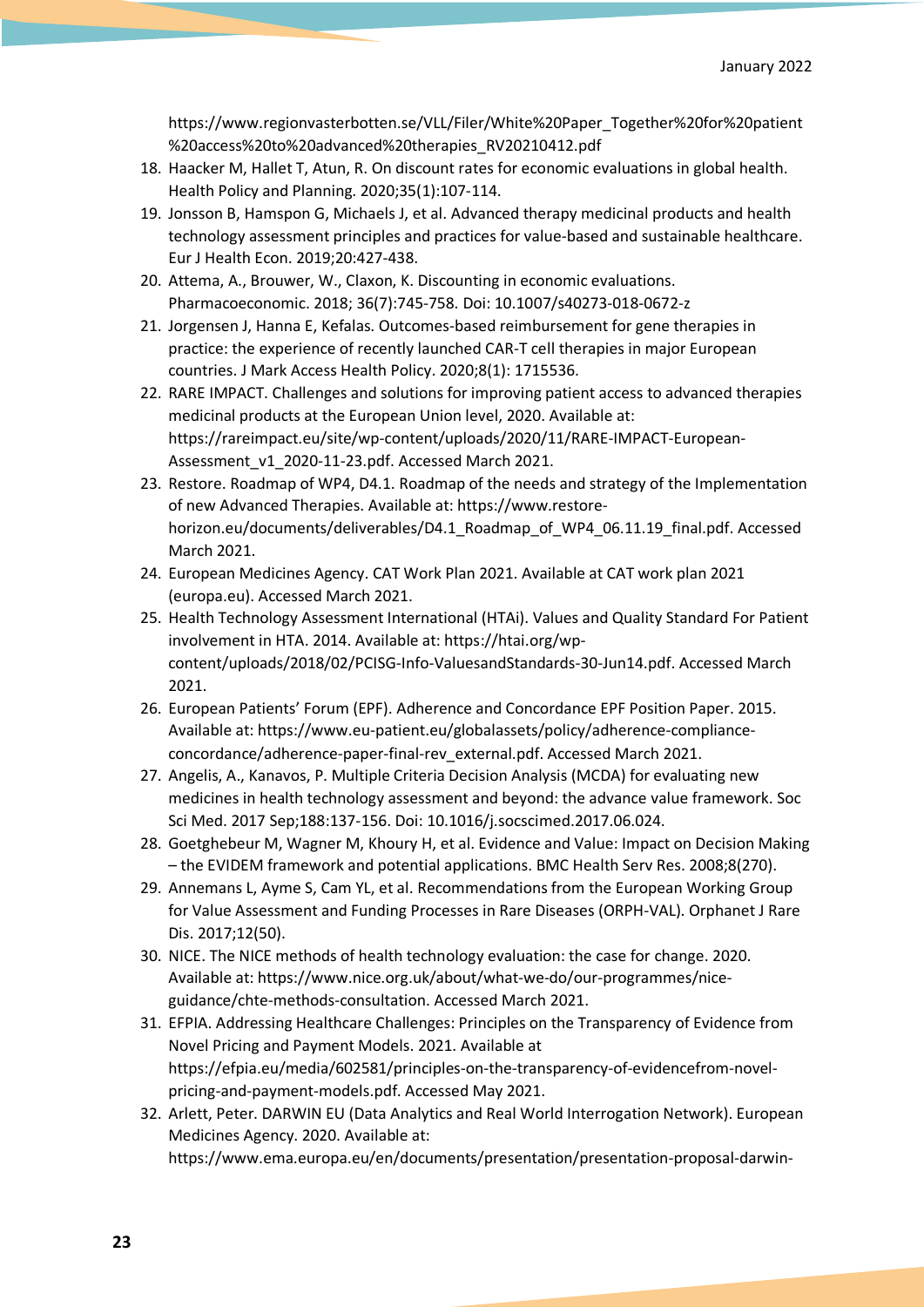https://www.regionvasterbotten.se/VLL/Filer/White%20Paper\_Together%20for%20patient %20access%20to%20advanced%20therapies\_RV20210412.pdf

- 18. Haacker M, Hallet T, Atun, R. On discount rates for economic evaluations in global health. Health Policy and Planning. 2020;35(1):107-114.
- 19. Jonsson B, Hamspon G, Michaels J, et al. Advanced therapy medicinal products and health technology assessment principles and practices for value-based and sustainable healthcare. Eur J Health Econ. 2019;20:427-438.
- 20. Attema, A., Brouwer, W., Claxon, K. Discounting in economic evaluations. Pharmacoeconomic. 2018; 36(7):745-758. Doi: 10.1007/s40273-018-0672-z
- 21. Jorgensen J, Hanna E, Kefalas. Outcomes-based reimbursement for gene therapies in practice: the experience of recently launched CAR-T cell therapies in major European countries. J Mark Access Health Policy. 2020;8(1): 1715536.
- 22. RARE IMPACT. Challenges and solutions for improving patient access to advanced therapies medicinal products at the European Union level, 2020. Available at: https://rareimpact.eu/site/wp-content/uploads/2020/11/RARE-IMPACT-European-Assessment\_v1\_2020-11-23.pdf. Accessed March 2021.
- 23. Restore. Roadmap of WP4, D4.1. Roadmap of the needs and strategy of the Implementation of new Advanced Therapies. Available at: https://www.restorehorizon.eu/documents/deliverables/D4.1\_Roadmap\_of\_WP4\_06.11.19\_final.pdf. Accessed March 2021.
- 24. European Medicines Agency. CAT Work Plan 2021. Available at CAT work plan 2021 (europa.eu). Accessed March 2021.
- 25. Health Technology Assessment International (HTAi). Values and Quality Standard For Patient involvement in HTA. 2014. Available at: https://htai.org/wpcontent/uploads/2018/02/PCISG-Info-ValuesandStandards-30-Jun14.pdf. Accessed March 2021.
- 26. European Patients' Forum (EPF). Adherence and Concordance EPF Position Paper. 2015. Available at: https://www.eu-patient.eu/globalassets/policy/adherence-complianceconcordance/adherence-paper-final-rev\_external.pdf. Accessed March 2021.
- 27. Angelis, A., Kanavos, P. Multiple Criteria Decision Analysis (MCDA) for evaluating new medicines in health technology assessment and beyond: the advance value framework. Soc Sci Med. 2017 Sep;188:137-156. Doi: 10.1016/j.socscimed.2017.06.024.
- 28. Goetghebeur M, Wagner M, Khoury H, et al. Evidence and Value: Impact on Decision Making – the EVIDEM framework and potential applications. BMC Health Serv Res. 2008;8(270).
- 29. Annemans L, Ayme S, Cam YL, et al. Recommendations from the European Working Group for Value Assessment and Funding Processes in Rare Diseases (ORPH-VAL). Orphanet J Rare Dis. 2017;12(50).
- 30. NICE. The NICE methods of health technology evaluation: the case for change. 2020. Available at: https://www.nice.org.uk/about/what-we-do/our-programmes/niceguidance/chte-methods-consultation. Accessed March 2021.
- 31. EFPIA. Addressing Healthcare Challenges: Principles on the Transparency of Evidence from Novel Pricing and Payment Models. 2021. Available at https://efpia.eu/media/602581/principles-on-the-transparency-of-evidencefrom-novelpricing-and-payment-models.pdf. Accessed May 2021.
- 32. Arlett, Peter. DARWIN EU (Data Analytics and Real World Interrogation Network). European Medicines Agency. 2020. Available at: https://www.ema.europa.eu/en/documents/presentation/presentation-proposal-darwin-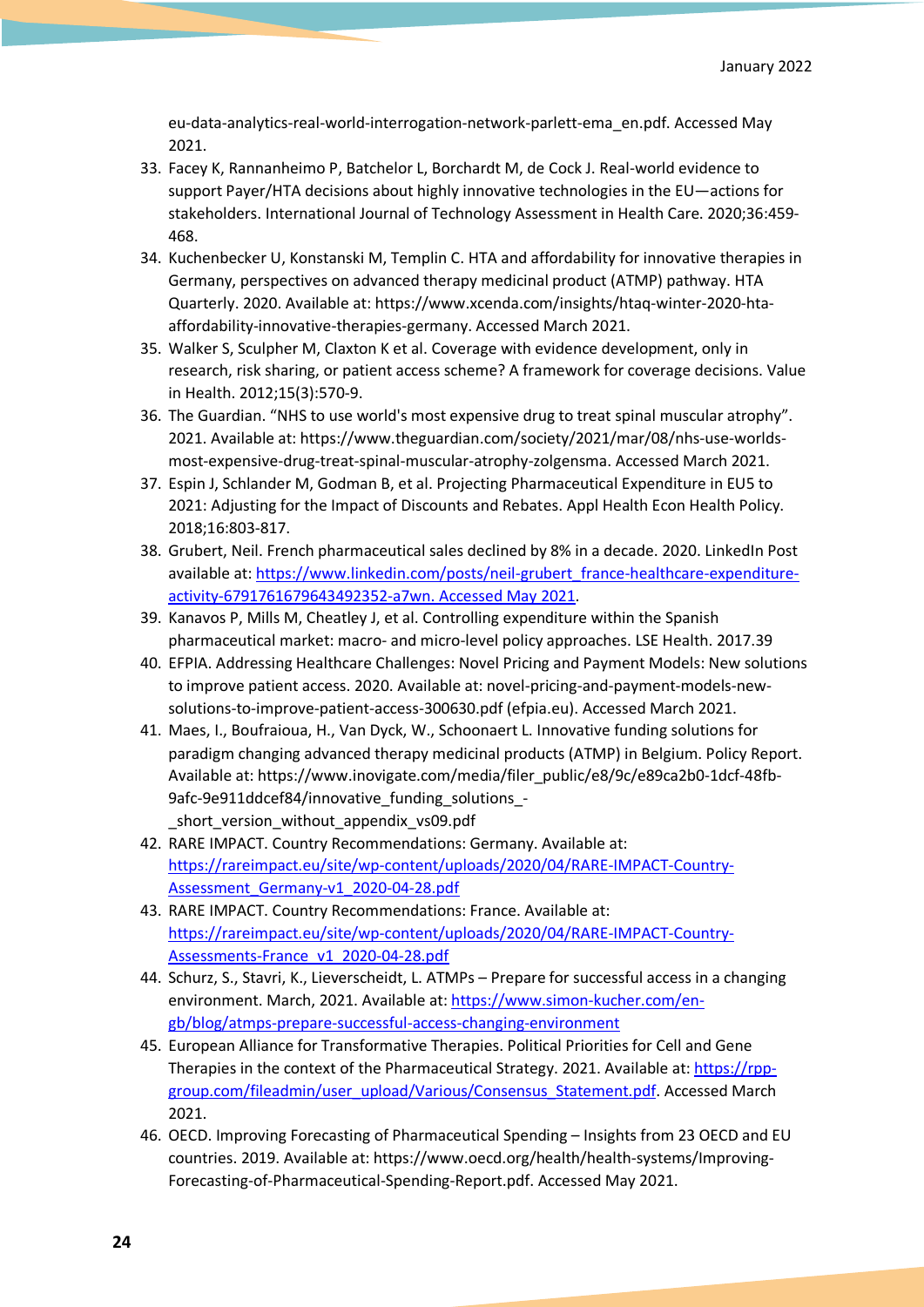eu-data-analytics-real-world-interrogation-network-parlett-ema\_en.pdf. Accessed May 2021.

- 33. Facey K, Rannanheimo P, Batchelor L, Borchardt M, de Cock J. Real-world evidence to support Payer/HTA decisions about highly innovative technologies in the EU—actions for stakeholders. International Journal of Technology Assessment in Health Care. 2020;36:459- 468.
- 34. Kuchenbecker U, Konstanski M, Templin C. HTA and affordability for innovative therapies in Germany, perspectives on advanced therapy medicinal product (ATMP) pathway. HTA Quarterly. 2020. Available at: https://www.xcenda.com/insights/htaq-winter-2020-htaaffordability-innovative-therapies-germany. Accessed March 2021.
- 35. Walker S, Sculpher M, Claxton K et al. Coverage with evidence development, only in research, risk sharing, or patient access scheme? A framework for coverage decisions. Value in Health. 2012;15(3):570-9.
- 36. The Guardian. "NHS to use world's most expensive drug to treat spinal muscular atrophy". 2021. Available at: https://www.theguardian.com/society/2021/mar/08/nhs-use-worldsmost-expensive-drug-treat-spinal-muscular-atrophy-zolgensma. Accessed March 2021.
- 37. Espin J, Schlander M, Godman B, et al. Projecting Pharmaceutical Expenditure in EU5 to 2021: Adjusting for the Impact of Discounts and Rebates. Appl Health Econ Health Policy. 2018;16:803-817.
- 38. Grubert, Neil. French pharmaceutical sales declined by 8% in a decade. 2020. LinkedIn Post available at: https://www.linkedin.com/posts/neil-grubert\_france-healthcare-expenditureactivity-6791761679643492352-a7wn. Accessed May 2021.
- 39. Kanavos P, Mills M, Cheatley J, et al. Controlling expenditure within the Spanish pharmaceutical market: macro- and micro-level policy approaches. LSE Health. 2017.39
- 40. EFPIA. Addressing Healthcare Challenges: Novel Pricing and Payment Models: New solutions to improve patient access. 2020. Available at: novel-pricing-and-payment-models-newsolutions-to-improve-patient-access-300630.pdf (efpia.eu). Accessed March 2021.
- 41. Maes, I., Boufraioua, H., Van Dyck, W., Schoonaert L. Innovative funding solutions for paradigm changing advanced therapy medicinal products (ATMP) in Belgium. Policy Report. Available at: https://www.inovigate.com/media/filer\_public/e8/9c/e89ca2b0-1dcf-48fb-9afc-9e911ddcef84/innovative\_funding\_solutions\_ short version without appendix vs09.pdf
- 42. RARE IMPACT. Country Recommendations: Germany. Available at: https://rareimpact.eu/site/wp-content/uploads/2020/04/RARE-IMPACT-Country-Assessment\_Germany-v1\_2020-04-28.pdf
- 43. RARE IMPACT. Country Recommendations: France. Available at: https://rareimpact.eu/site/wp-content/uploads/2020/04/RARE-IMPACT-Country-Assessments-France\_v1\_2020-04-28.pdf
- 44. Schurz, S., Stavri, K., Lieverscheidt, L. ATMPs Prepare for successful access in a changing environment. March, 2021. Available at: https://www.simon-kucher.com/engb/blog/atmps-prepare-successful-access-changing-environment
- 45. European Alliance for Transformative Therapies. Political Priorities for Cell and Gene Therapies in the context of the Pharmaceutical Strategy. 2021. Available at: https://rppgroup.com/fileadmin/user\_upload/Various/Consensus\_Statement.pdf. Accessed March 2021.
- 46. OECD. Improving Forecasting of Pharmaceutical Spending Insights from 23 OECD and EU countries. 2019. Available at: https://www.oecd.org/health/health-systems/Improving-Forecasting-of-Pharmaceutical-Spending-Report.pdf. Accessed May 2021.